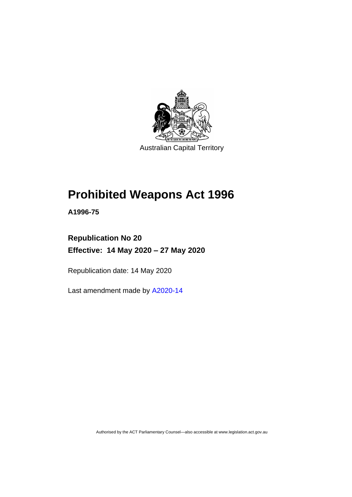

# **Prohibited Weapons Act 1996**

**A1996-75**

## **Republication No 20 Effective: 14 May 2020 – 27 May 2020**

Republication date: 14 May 2020

Last amendment made by [A2020-14](http://www.legislation.act.gov.au/a/2020-14/)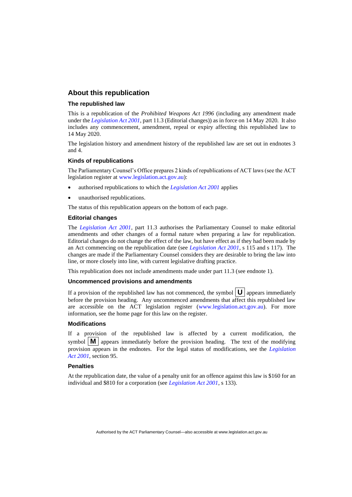### **About this republication**

#### **The republished law**

This is a republication of the *Prohibited Weapons Act 1996* (including any amendment made under the *[Legislation Act 2001](http://www.legislation.act.gov.au/a/2001-14)*, part 11.3 (Editorial changes)) as in force on 14 May 2020*.* It also includes any commencement, amendment, repeal or expiry affecting this republished law to 14 May 2020.

The legislation history and amendment history of the republished law are set out in endnotes 3 and 4.

#### **Kinds of republications**

The Parliamentary Counsel's Office prepares 2 kinds of republications of ACT laws (see the ACT legislation register at [www.legislation.act.gov.au\)](http://www.legislation.act.gov.au/):

- authorised republications to which the *[Legislation Act 2001](http://www.legislation.act.gov.au/a/2001-14)* applies
- unauthorised republications.

The status of this republication appears on the bottom of each page.

#### **Editorial changes**

The *[Legislation Act 2001](http://www.legislation.act.gov.au/a/2001-14)*, part 11.3 authorises the Parliamentary Counsel to make editorial amendments and other changes of a formal nature when preparing a law for republication. Editorial changes do not change the effect of the law, but have effect as if they had been made by an Act commencing on the republication date (see *[Legislation Act 2001](http://www.legislation.act.gov.au/a/2001-14)*, s 115 and s 117). The changes are made if the Parliamentary Counsel considers they are desirable to bring the law into line, or more closely into line, with current legislative drafting practice.

This republication does not include amendments made under part 11.3 (see endnote 1).

#### **Uncommenced provisions and amendments**

If a provision of the republished law has not commenced, the symbol  $\mathbf{U}$  appears immediately before the provision heading. Any uncommenced amendments that affect this republished law are accessible on the ACT legislation register [\(www.legislation.act.gov.au\)](http://www.legislation.act.gov.au/). For more information, see the home page for this law on the register.

#### **Modifications**

If a provision of the republished law is affected by a current modification, the symbol  $\mathbf{M}$  appears immediately before the provision heading. The text of the modifying provision appears in the endnotes. For the legal status of modifications, see the *[Legislation](http://www.legislation.act.gov.au/a/2001-14)  Act [2001](http://www.legislation.act.gov.au/a/2001-14)*, section 95.

#### **Penalties**

At the republication date, the value of a penalty unit for an offence against this law is \$160 for an individual and \$810 for a corporation (see *[Legislation Act 2001](http://www.legislation.act.gov.au/a/2001-14)*, s 133).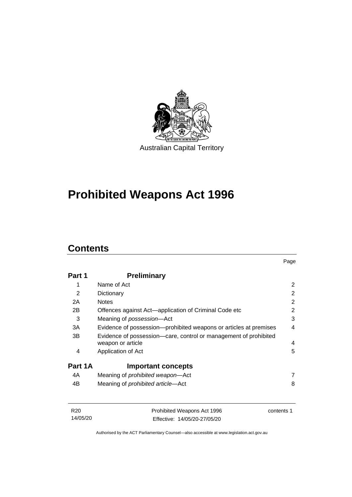

# **Prohibited Weapons Act 1996**

## **Contents**

| Part 1  | <b>Preliminary</b>                                                                    |   |
|---------|---------------------------------------------------------------------------------------|---|
| 1       | Name of Act                                                                           | 2 |
| 2       | Dictionary                                                                            | 2 |
| 2A      | <b>Notes</b>                                                                          | 2 |
| 2B      | Offences against Act-application of Criminal Code etc                                 | 2 |
| 3       | Meaning of possession-Act                                                             | 3 |
| 3A      | Evidence of possession—prohibited weapons or articles at premises                     | 4 |
| 3B      | Evidence of possession—care, control or management of prohibited<br>weapon or article | 4 |
| 4       | Application of Act                                                                    | 5 |
| Part 1A | <b>Important concepts</b>                                                             |   |
| 4A      | Meaning of <i>prohibited</i> weapon-Act                                               | 7 |
| 4B      | Meaning of <i>prohibited article</i> —Act                                             | 8 |
|         |                                                                                       |   |

| R <sub>20</sub> | Prohibited Weapons Act 1996  | contents 1 |
|-----------------|------------------------------|------------|
| 14/05/20        | Effective: 14/05/20-27/05/20 |            |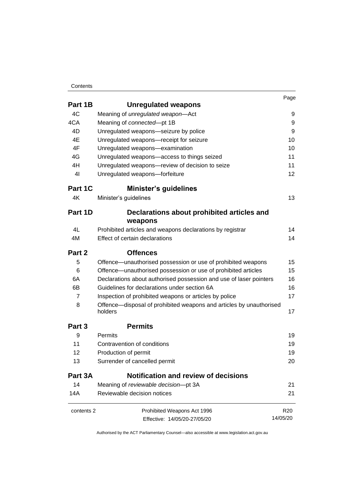#### **Contents**

|                   |                                                                                | Page |
|-------------------|--------------------------------------------------------------------------------|------|
| Part 1B           | <b>Unregulated weapons</b>                                                     |      |
| 4C                | Meaning of unregulated weapon-Act                                              | 9    |
| 4CA               | Meaning of connected-pt 1B                                                     | 9    |
| 4D                | Unregulated weapons-seizure by police                                          | 9    |
| 4E                | Unregulated weapons-receipt for seizure                                        | 10   |
| 4F                | Unregulated weapons-examination                                                | 10   |
| 4G                | Unregulated weapons-access to things seized                                    | 11   |
| 4H                | Unregulated weapons-review of decision to seize                                | 11   |
| 4 <sub>l</sub>    | Unregulated weapons-forfeiture                                                 | 12   |
| Part 1C           | <b>Minister's guidelines</b>                                                   |      |
| 4K                | Minister's guidelines                                                          | 13   |
| Part 1D           | Declarations about prohibited articles and                                     |      |
|                   | weapons                                                                        |      |
| 4L                | Prohibited articles and weapons declarations by registrar                      | 14   |
| 4M                | Effect of certain declarations                                                 | 14   |
|                   |                                                                                |      |
| Part 2            | <b>Offences</b>                                                                |      |
| 5                 | Offence—unauthorised possession or use of prohibited weapons                   | 15   |
| 6                 | Offence—unauthorised possession or use of prohibited articles                  | 15   |
| 6A                | Declarations about authorised possession and use of laser pointers             | 16   |
| 6В                | Guidelines for declarations under section 6A                                   | 16   |
| 7                 | Inspection of prohibited weapons or articles by police                         | 17   |
| 8                 | Offence—disposal of prohibited weapons and articles by unauthorised<br>holders | 17   |
| Part 3            | <b>Permits</b>                                                                 |      |
| 9                 | Permits                                                                        | 19   |
| 11                | Contravention of conditions                                                    | 19   |
| $12 \overline{ }$ | Production of permit                                                           | 19   |
| 13                | Surrender of cancelled permit                                                  | 20   |
| Part 3A           | Notification and review of decisions                                           |      |
| 14                | Meaning of reviewable decision-pt 3A                                           | 21   |

| contents 2 | Prohibited Weapons Act 1996  | R <sub>20</sub> |
|------------|------------------------------|-----------------|
|            | Effective: 14/05/20-27/05/20 | 14/05/20        |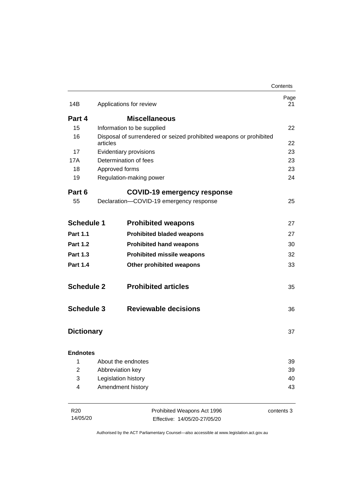|                   |          |                                                                    | Contents   |
|-------------------|----------|--------------------------------------------------------------------|------------|
| 14B               |          | Applications for review                                            | Page<br>21 |
| Part 4            |          | <b>Miscellaneous</b>                                               |            |
| 15                |          | Information to be supplied                                         | 22         |
| 16                | articles | Disposal of surrendered or seized prohibited weapons or prohibited | 22         |
| 17                |          | Evidentiary provisions                                             | 23         |
| 17A               |          | Determination of fees                                              | 23         |
| 18                |          | Approved forms                                                     | 23         |
| 19                |          | Regulation-making power                                            | 24         |
| Part 6            |          | COVID-19 emergency response                                        |            |
| 55                |          | Declaration-COVID-19 emergency response                            | 25         |
| <b>Schedule 1</b> |          | <b>Prohibited weapons</b>                                          | 27         |
| <b>Part 1.1</b>   |          | <b>Prohibited bladed weapons</b>                                   | 27         |
| <b>Part 1.2</b>   |          | <b>Prohibited hand weapons</b>                                     | 30         |
| <b>Part 1.3</b>   |          | <b>Prohibited missile weapons</b>                                  | 32         |
| <b>Part 1.4</b>   |          | <b>Other prohibited weapons</b>                                    | 33         |
| <b>Schedule 2</b> |          | <b>Prohibited articles</b>                                         | 35         |
| <b>Schedule 3</b> |          | <b>Reviewable decisions</b>                                        | 36         |
| <b>Dictionary</b> |          |                                                                    | 37         |
| <b>Endnotes</b>   |          |                                                                    |            |
| 1                 |          | About the endnotes                                                 | 39         |
| $\overline{2}$    |          | Abbreviation key                                                   | 39         |
| 3                 |          | Legislation history                                                | 40         |
| 4                 |          | Amendment history                                                  | 43         |
| R <sub>20</sub>   |          | Prohibited Weapons Act 1996                                        | contents 3 |
| 14/05/20          |          | Effective: 14/05/20-27/05/20                                       |            |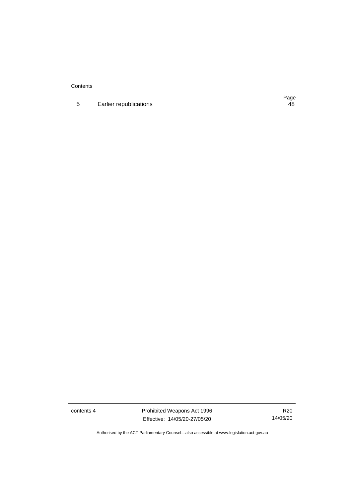**Contents** 

5 **[Earlier republications](#page-53-0)** 

Page<br>48

contents 4 Prohibited Weapons Act 1996 Effective: 14/05/20-27/05/20

R20 14/05/20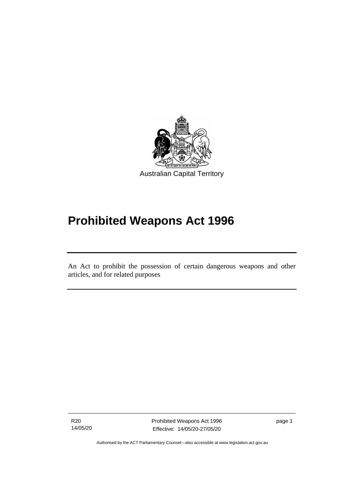

# **Prohibited Weapons Act 1996**

An Act to prohibit the possession of certain dangerous weapons and other articles, and for related purposes

R20 14/05/20

ׅ֖֖֚֚֡֡֬֝֬

Prohibited Weapons Act 1996 Effective: 14/05/20-27/05/20

page 1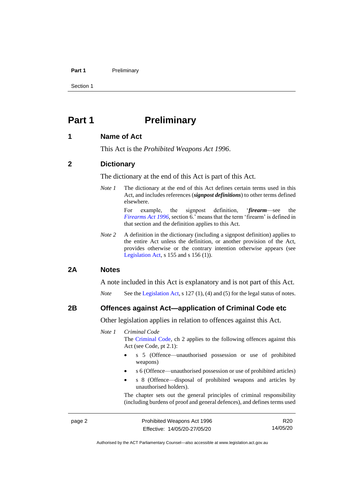#### **Part 1** Preliminary

Section 1

## <span id="page-7-0"></span>**Part 1 Preliminary**

### <span id="page-7-1"></span>**1 Name of Act**

This Act is the *Prohibited Weapons Act 1996*.

#### <span id="page-7-2"></span>**2 Dictionary**

The dictionary at the end of this Act is part of this Act.

*Note 1* The dictionary at the end of this Act defines certain terms used in this Act, and includes references (*signpost definitions*) to other terms defined elsewhere.

> For example, the signpost definition, '*firearm*—see the *[Firearms](http://www.legislation.act.gov.au/a/1996-74) Act 1996*, section 6.' means that the term 'firearm' is defined in that section and the definition applies to this Act.

*Note* 2 A definition in the dictionary (including a signpost definition) applies to the entire Act unless the definition, or another provision of the Act, provides otherwise or the contrary intention otherwise appears (see [Legislation Act,](http://www.legislation.act.gov.au/a/2001-14) s  $155$  and s  $156$  (1)).

#### <span id="page-7-3"></span>**2A Notes**

A note included in this Act is explanatory and is not part of this Act.

*Note* See the [Legislation Act,](http://www.legislation.act.gov.au/a/2001-14) s 127 (1), (4) and (5) for the legal status of notes.

#### <span id="page-7-4"></span>**2B Offences against Act—application of Criminal Code etc**

Other legislation applies in relation to offences against this Act.

#### *Note 1 Criminal Code*

The [Criminal Code,](http://www.legislation.act.gov.au/a/2002-51) ch 2 applies to the following offences against this Act (see Code, pt 2.1):

- s 5 (Offence—unauthorised possession or use of prohibited weapons)
- s 6 (Offence—unauthorised possession or use of prohibited articles)
- s 8 (Offence—disposal of prohibited weapons and articles by unauthorised holders).

The chapter sets out the general principles of criminal responsibility (including burdens of proof and general defences), and defines terms used

page 2 Prohibited Weapons Act 1996 Effective: 14/05/20-27/05/20

R20 14/05/20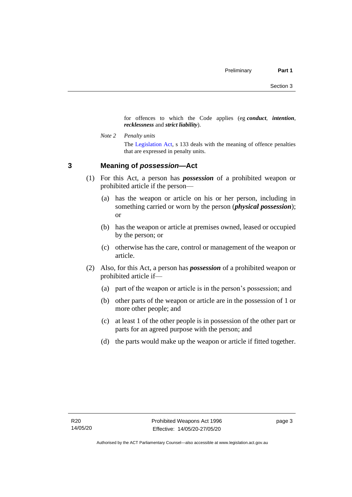for offences to which the Code applies (eg *conduct*, *intention*, *recklessness* and *strict liability*).

*Note 2 Penalty units* The [Legislation Act,](http://www.legislation.act.gov.au/a/2001-14) s 133 deals with the meaning of offence penalties that are expressed in penalty units.

## <span id="page-8-0"></span>**3 Meaning of** *possession***—Act**

- (1) For this Act, a person has *possession* of a prohibited weapon or prohibited article if the person—
	- (a) has the weapon or article on his or her person, including in something carried or worn by the person (*physical possession*); or
	- (b) has the weapon or article at premises owned, leased or occupied by the person; or
	- (c) otherwise has the care, control or management of the weapon or article.
- (2) Also, for this Act, a person has *possession* of a prohibited weapon or prohibited article if—
	- (a) part of the weapon or article is in the person's possession; and
	- (b) other parts of the weapon or article are in the possession of 1 or more other people; and
	- (c) at least 1 of the other people is in possession of the other part or parts for an agreed purpose with the person; and
	- (d) the parts would make up the weapon or article if fitted together.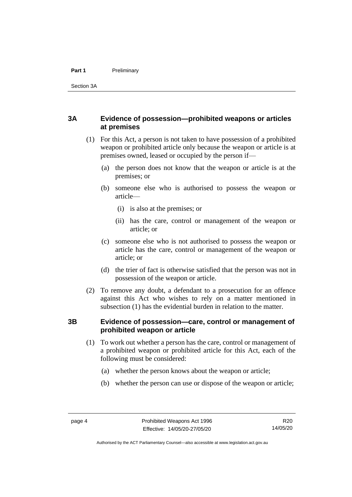#### **Part 1** Preliminary

Section 3A

## <span id="page-9-0"></span>**3A Evidence of possession—prohibited weapons or articles at premises**

- (1) For this Act, a person is not taken to have possession of a prohibited weapon or prohibited article only because the weapon or article is at premises owned, leased or occupied by the person if—
	- (a) the person does not know that the weapon or article is at the premises; or
	- (b) someone else who is authorised to possess the weapon or article—
		- (i) is also at the premises; or
		- (ii) has the care, control or management of the weapon or article; or
	- (c) someone else who is not authorised to possess the weapon or article has the care, control or management of the weapon or article; or
	- (d) the trier of fact is otherwise satisfied that the person was not in possession of the weapon or article.
- (2) To remove any doubt, a defendant to a prosecution for an offence against this Act who wishes to rely on a matter mentioned in subsection (1) has the evidential burden in relation to the matter.

## <span id="page-9-1"></span>**3B Evidence of possession—care, control or management of prohibited weapon or article**

- (1) To work out whether a person has the care, control or management of a prohibited weapon or prohibited article for this Act, each of the following must be considered:
	- (a) whether the person knows about the weapon or article;
	- (b) whether the person can use or dispose of the weapon or article;

Authorised by the ACT Parliamentary Counsel—also accessible at www.legislation.act.gov.au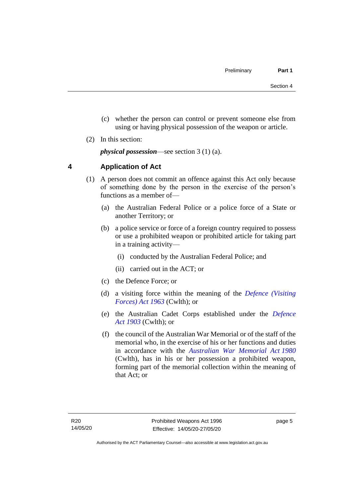- (c) whether the person can control or prevent someone else from using or having physical possession of the weapon or article.
- (2) In this section:

*physical possession*—see section 3 (1) (a).

## <span id="page-10-0"></span>**4 Application of Act**

- (1) A person does not commit an offence against this Act only because of something done by the person in the exercise of the person's functions as a member of—
	- (a) the Australian Federal Police or a police force of a State or another Territory; or
	- (b) a police service or force of a foreign country required to possess or use a prohibited weapon or prohibited article for taking part in a training activity—
		- (i) conducted by the Australian Federal Police; and
		- (ii) carried out in the ACT; or
	- (c) the Defence Force; or
	- (d) a visiting force within the meaning of the *[Defence \(Visiting](http://www.comlaw.gov.au/Series/C1963A00081)  [Forces\) Act 1963](http://www.comlaw.gov.au/Series/C1963A00081)* (Cwlth); or
	- (e) the Australian Cadet Corps established under the *[Defence](http://www.comlaw.gov.au/Series/C1903A00020)  Act [1903](http://www.comlaw.gov.au/Series/C1903A00020)* (Cwlth); or
	- (f) the council of the Australian War Memorial or of the staff of the memorial who, in the exercise of his or her functions and duties in accordance with the *[Australian War Memorial Act](http://www.comlaw.gov.au/Series/C2004A02305) 1980* (Cwlth), has in his or her possession a prohibited weapon, forming part of the memorial collection within the meaning of that Act; or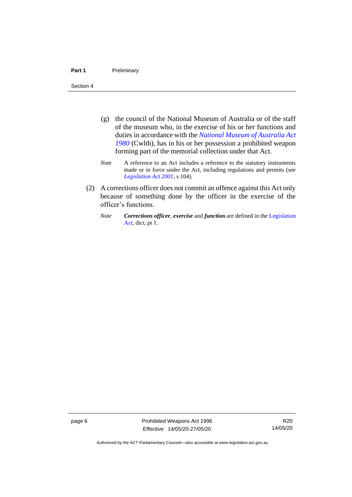#### Part 1 **Preliminary**

Section 4

- (g) the council of the National Museum of Australia or of the staff of the museum who, in the exercise of his or her functions and duties in accordance with the *[National Museum of Australia Act](http://www.comlaw.gov.au/Series/C2004A02316)  [1980](http://www.comlaw.gov.au/Series/C2004A02316)* (Cwlth), has in his or her possession a prohibited weapon forming part of the memorial collection under that Act.
- *Note* A reference to an Act includes a reference to the statutory instruments made or in force under the Act, including regulations and permits (see *[Legislation Act 2001](http://www.legislation.act.gov.au/a/2001-14)*, s 104).
- (2) A corrections officer does not commit an offence against this Act only because of something done by the officer in the exercise of the officer's functions.
	- *Note Corrections officer*, *exercise* and *function* are defined in the [Legislation](http://www.legislation.act.gov.au/a/2001-14)  [Act,](http://www.legislation.act.gov.au/a/2001-14) dict, pt 1.

page 6 **Prohibited Weapons Act 1996** Effective: 14/05/20-27/05/20

Authorised by the ACT Parliamentary Counsel—also accessible at www.legislation.act.gov.au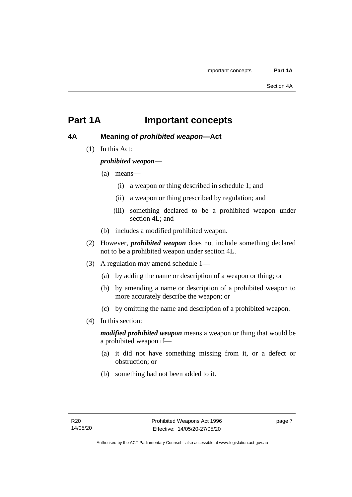## <span id="page-12-0"></span>**Part 1A Important concepts**

## <span id="page-12-1"></span>**4A Meaning of** *prohibited weapon***—Act**

(1) In this Act:

## *prohibited weapon*—

- (a) means—
	- (i) a weapon or thing described in schedule 1; and
	- (ii) a weapon or thing prescribed by regulation; and
	- (iii) something declared to be a prohibited weapon under section 4L; and
- (b) includes a modified prohibited weapon.
- (2) However, *prohibited weapon* does not include something declared not to be a prohibited weapon under section 4L.
- (3) A regulation may amend schedule 1—
	- (a) by adding the name or description of a weapon or thing; or
	- (b) by amending a name or description of a prohibited weapon to more accurately describe the weapon; or
	- (c) by omitting the name and description of a prohibited weapon.
- (4) In this section:

*modified prohibited weapon* means a weapon or thing that would be a prohibited weapon if—

- (a) it did not have something missing from it, or a defect or obstruction; or
- (b) something had not been added to it.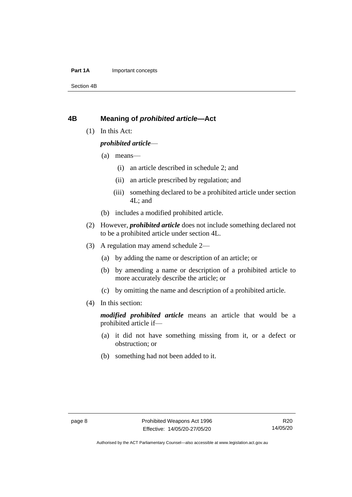#### **Part 1A** Important concepts

Section 4B

## <span id="page-13-0"></span>**4B Meaning of** *prohibited article***—Act**

(1) In this Act:

### *prohibited article*—

- (a) means—
	- (i) an article described in schedule 2; and
	- (ii) an article prescribed by regulation; and
	- (iii) something declared to be a prohibited article under section 4L; and
- (b) includes a modified prohibited article.
- (2) However, *prohibited article* does not include something declared not to be a prohibited article under section 4L.
- (3) A regulation may amend schedule 2—
	- (a) by adding the name or description of an article; or
	- (b) by amending a name or description of a prohibited article to more accurately describe the article; or
	- (c) by omitting the name and description of a prohibited article.
- (4) In this section:

*modified prohibited article* means an article that would be a prohibited article if—

- (a) it did not have something missing from it, or a defect or obstruction; or
- (b) something had not been added to it.

Authorised by the ACT Parliamentary Counsel—also accessible at www.legislation.act.gov.au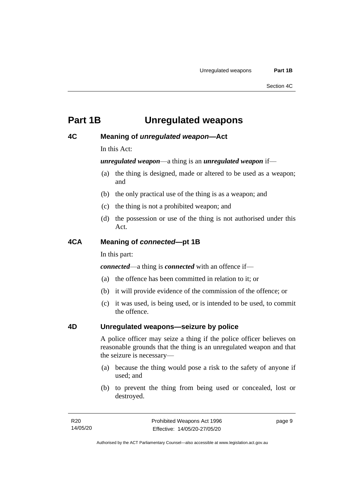## <span id="page-14-0"></span>**Part 1B Unregulated weapons**

### <span id="page-14-1"></span>**4C Meaning of** *unregulated weapon***—Act**

In this Act:

*unregulated weapon*—a thing is an *unregulated weapon* if—

- (a) the thing is designed, made or altered to be used as a weapon; and
- (b) the only practical use of the thing is as a weapon; and
- (c) the thing is not a prohibited weapon; and
- (d) the possession or use of the thing is not authorised under this Act.

### <span id="page-14-2"></span>**4CA Meaning of** *connected***—pt 1B**

In this part:

*connected*—a thing is *connected* with an offence if—

- (a) the offence has been committed in relation to it; or
- (b) it will provide evidence of the commission of the offence; or
- (c) it was used, is being used, or is intended to be used, to commit the offence.

## <span id="page-14-3"></span>**4D Unregulated weapons—seizure by police**

A police officer may seize a thing if the police officer believes on reasonable grounds that the thing is an unregulated weapon and that the seizure is necessary—

- (a) because the thing would pose a risk to the safety of anyone if used; and
- (b) to prevent the thing from being used or concealed, lost or destroyed.

page 9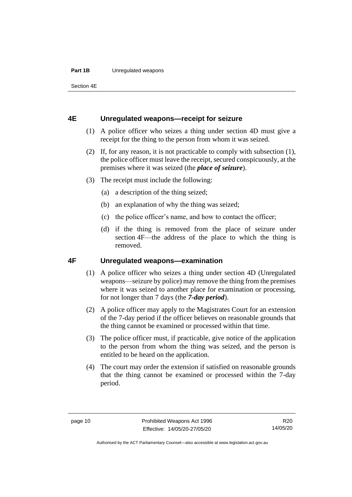#### **Part 1B** Unregulated weapons

Section 4E

## <span id="page-15-0"></span>**4E Unregulated weapons—receipt for seizure**

- (1) A police officer who seizes a thing under section 4D must give a receipt for the thing to the person from whom it was seized.
- (2) If, for any reason, it is not practicable to comply with subsection (1), the police officer must leave the receipt, secured conspicuously, at the premises where it was seized (the *place of seizure*).
- (3) The receipt must include the following:
	- (a) a description of the thing seized;
	- (b) an explanation of why the thing was seized;
	- (c) the police officer's name, and how to contact the officer;
	- (d) if the thing is removed from the place of seizure under section 4F—the address of the place to which the thing is removed.

## <span id="page-15-1"></span>**4F Unregulated weapons—examination**

- (1) A police officer who seizes a thing under section 4D (Unregulated weapons—seizure by police) may remove the thing from the premises where it was seized to another place for examination or processing, for not longer than 7 days (the *7-day period*).
- (2) A police officer may apply to the Magistrates Court for an extension of the 7-day period if the officer believes on reasonable grounds that the thing cannot be examined or processed within that time.
- (3) The police officer must, if practicable, give notice of the application to the person from whom the thing was seized, and the person is entitled to be heard on the application.
- (4) The court may order the extension if satisfied on reasonable grounds that the thing cannot be examined or processed within the 7-day period.

Authorised by the ACT Parliamentary Counsel—also accessible at www.legislation.act.gov.au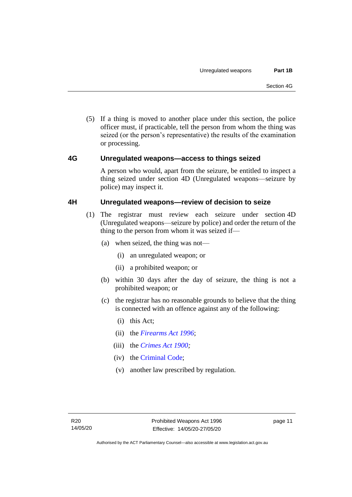(5) If a thing is moved to another place under this section, the police officer must, if practicable, tell the person from whom the thing was seized (or the person's representative) the results of the examination or processing.

## <span id="page-16-0"></span>**4G Unregulated weapons—access to things seized**

A person who would, apart from the seizure, be entitled to inspect a thing seized under section 4D (Unregulated weapons—seizure by police) may inspect it.

### <span id="page-16-1"></span>**4H Unregulated weapons—review of decision to seize**

- (1) The registrar must review each seizure under section 4D (Unregulated weapons—seizure by police) and order the return of the thing to the person from whom it was seized if—
	- (a) when seized, the thing was not—
		- (i) an unregulated weapon; or
		- (ii) a prohibited weapon; or
	- (b) within 30 days after the day of seizure, the thing is not a prohibited weapon; or
	- (c) the registrar has no reasonable grounds to believe that the thing is connected with an offence against any of the following:
		- (i) this Act;
		- (ii) the *[Firearms Act 1996](http://www.legislation.act.gov.au/a/1996-74)*;
		- (iii) the *[Crimes Act 1900;](http://www.legislation.act.gov.au/a/1900-40)*
		- (iv) the [Criminal Code;](http://www.legislation.act.gov.au/a/2002-51)
		- (v) another law prescribed by regulation.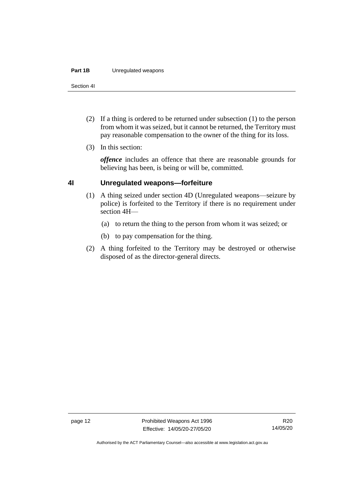#### **Part 1B** Unregulated weapons

Section 4I

- (2) If a thing is ordered to be returned under subsection (1) to the person from whom it was seized, but it cannot be returned, the Territory must pay reasonable compensation to the owner of the thing for its loss.
- (3) In this section:

*offence* includes an offence that there are reasonable grounds for believing has been, is being or will be, committed.

### <span id="page-17-0"></span>**4I Unregulated weapons—forfeiture**

- (1) A thing seized under section 4D (Unregulated weapons—seizure by police) is forfeited to the Territory if there is no requirement under section 4H—
	- (a) to return the thing to the person from whom it was seized; or
	- (b) to pay compensation for the thing.
- (2) A thing forfeited to the Territory may be destroyed or otherwise disposed of as the director-general directs.

Authorised by the ACT Parliamentary Counsel—also accessible at www.legislation.act.gov.au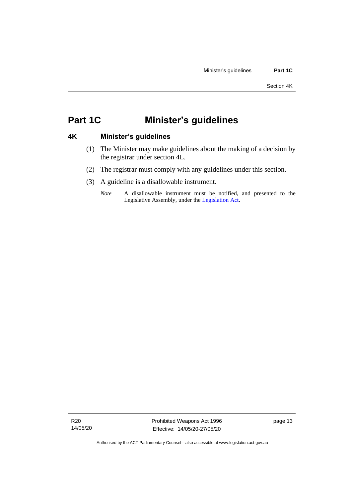## <span id="page-18-0"></span>**Part 1C Minister's guidelines**

## <span id="page-18-1"></span>**4K Minister's guidelines**

- (1) The Minister may make guidelines about the making of a decision by the registrar under section 4L.
- (2) The registrar must comply with any guidelines under this section.
- (3) A guideline is a disallowable instrument.
	- *Note* A disallowable instrument must be notified, and presented to the Legislative Assembly, under the [Legislation Act.](http://www.legislation.act.gov.au/a/2001-14)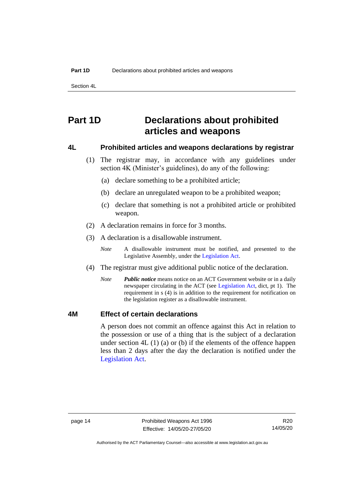Section 4L

## <span id="page-19-0"></span>**Part 1D Declarations about prohibited articles and weapons**

### <span id="page-19-1"></span>**4L Prohibited articles and weapons declarations by registrar**

- (1) The registrar may, in accordance with any guidelines under section 4K (Minister's guidelines), do any of the following:
	- (a) declare something to be a prohibited article;
	- (b) declare an unregulated weapon to be a prohibited weapon;
	- (c) declare that something is not a prohibited article or prohibited weapon.
- (2) A declaration remains in force for 3 months.
- (3) A declaration is a disallowable instrument.
	- *Note* A disallowable instrument must be notified, and presented to the Legislative Assembly, under the [Legislation Act.](http://www.legislation.act.gov.au/a/2001-14)
- (4) The registrar must give additional public notice of the declaration.
	- *Note Public notice* means notice on an ACT Government website or in a daily newspaper circulating in the ACT (see [Legislation Act,](http://www.legislation.act.gov.au/a/2001-14) dict, pt 1). The requirement in s (4) is in addition to the requirement for notification on the legislation register as a disallowable instrument.

### <span id="page-19-2"></span>**4M Effect of certain declarations**

A person does not commit an offence against this Act in relation to the possession or use of a thing that is the subject of a declaration under section 4L (1) (a) or (b) if the elements of the offence happen less than 2 days after the day the declaration is notified under the [Legislation Act.](http://www.legislation.act.gov.au/a/2001-14)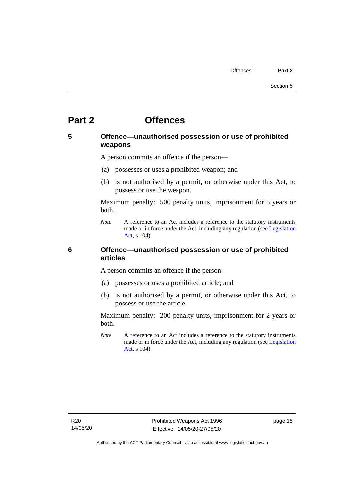## <span id="page-20-0"></span>**Part 2 Offences**

## <span id="page-20-1"></span>**5 Offence—unauthorised possession or use of prohibited weapons**

A person commits an offence if the person—

- (a) possesses or uses a prohibited weapon; and
- (b) is not authorised by a permit, or otherwise under this Act, to possess or use the weapon.

Maximum penalty: 500 penalty units, imprisonment for 5 years or both.

*Note* A reference to an Act includes a reference to the statutory instruments made or in force under the Act, including any regulation (se[e Legislation](http://www.legislation.act.gov.au/a/2001-14)  [Act,](http://www.legislation.act.gov.au/a/2001-14) s 104).

## <span id="page-20-2"></span>**6 Offence—unauthorised possession or use of prohibited articles**

A person commits an offence if the person—

- (a) possesses or uses a prohibited article; and
- (b) is not authorised by a permit, or otherwise under this Act, to possess or use the article.

Maximum penalty: 200 penalty units, imprisonment for 2 years or both.

*Note* A reference to an Act includes a reference to the statutory instruments made or in force under the Act, including any regulation (se[e Legislation](http://www.legislation.act.gov.au/a/2001-14)  [Act,](http://www.legislation.act.gov.au/a/2001-14) s 104).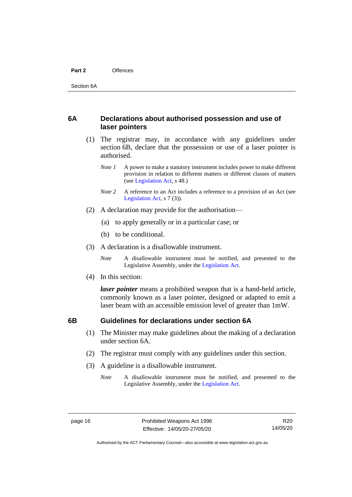#### **Part 2** Offences

## <span id="page-21-0"></span>**6A Declarations about authorised possession and use of laser pointers**

- (1) The registrar may, in accordance with any guidelines under section 6B, declare that the possession or use of a laser pointer is authorised.
	- *Note 1* A power to make a statutory instrument includes power to make different provision in relation to different matters or different classes of matters (se[e Legislation Act,](http://www.legislation.act.gov.au/a/2001-14) s 48.)
	- *Note 2* A reference to an Act includes a reference to a provision of an Act (see [Legislation Act,](http://www.legislation.act.gov.au/a/2001-14) s 7 (3)).
- (2) A declaration may provide for the authorisation—
	- (a) to apply generally or in a particular case; or
	- (b) to be conditional.
- (3) A declaration is a disallowable instrument.

*Note* A disallowable instrument must be notified, and presented to the Legislative Assembly, under the [Legislation Act.](http://www.legislation.act.gov.au/a/2001-14)

(4) In this section:

*laser pointer* means a prohibited weapon that is a hand-held article, commonly known as a laser pointer, designed or adapted to emit a laser beam with an accessible emission level of greater than 1mW.

### <span id="page-21-1"></span>**6B Guidelines for declarations under section 6A**

- (1) The Minister may make guidelines about the making of a declaration under section 6A.
- (2) The registrar must comply with any guidelines under this section.
- (3) A guideline is a disallowable instrument.
	- *Note* A disallowable instrument must be notified, and presented to the Legislative Assembly, under the [Legislation Act.](http://www.legislation.act.gov.au/a/2001-14)

Authorised by the ACT Parliamentary Counsel—also accessible at www.legislation.act.gov.au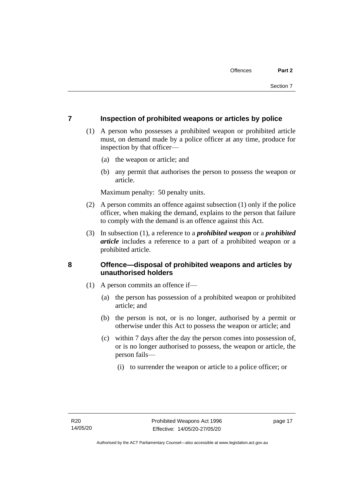### <span id="page-22-0"></span>**7 Inspection of prohibited weapons or articles by police**

- (1) A person who possesses a prohibited weapon or prohibited article must, on demand made by a police officer at any time, produce for inspection by that officer—
	- (a) the weapon or article; and
	- (b) any permit that authorises the person to possess the weapon or article.

Maximum penalty: 50 penalty units.

- (2) A person commits an offence against subsection (1) only if the police officer, when making the demand, explains to the person that failure to comply with the demand is an offence against this Act.
- (3) In subsection (1), a reference to a *prohibited weapon* or a *prohibited article* includes a reference to a part of a prohibited weapon or a prohibited article.

## <span id="page-22-1"></span>**8 Offence—disposal of prohibited weapons and articles by unauthorised holders**

- (1) A person commits an offence if—
	- (a) the person has possession of a prohibited weapon or prohibited article; and
	- (b) the person is not, or is no longer, authorised by a permit or otherwise under this Act to possess the weapon or article; and
	- (c) within 7 days after the day the person comes into possession of, or is no longer authorised to possess, the weapon or article, the person fails—
		- (i) to surrender the weapon or article to a police officer; or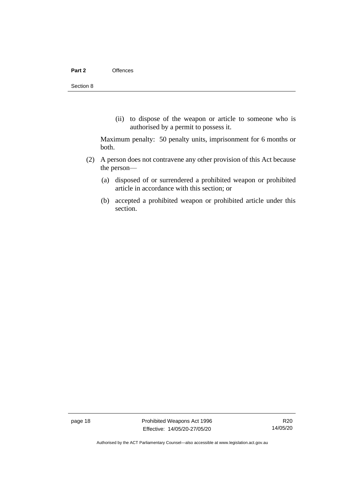(ii) to dispose of the weapon or article to someone who is authorised by a permit to possess it.

Maximum penalty: 50 penalty units, imprisonment for 6 months or both.

- (2) A person does not contravene any other provision of this Act because the person—
	- (a) disposed of or surrendered a prohibited weapon or prohibited article in accordance with this section; or
	- (b) accepted a prohibited weapon or prohibited article under this section.

page 18 Prohibited Weapons Act 1996 Effective: 14/05/20-27/05/20

R20 14/05/20

Authorised by the ACT Parliamentary Counsel—also accessible at www.legislation.act.gov.au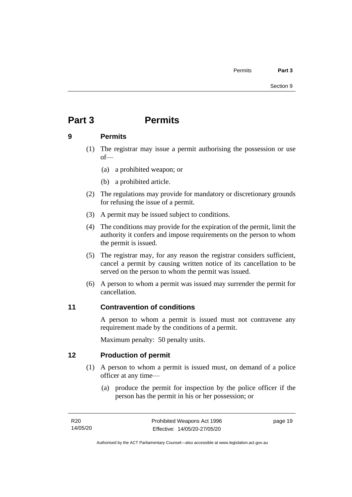## <span id="page-24-0"></span>**Part 3 Permits**

## <span id="page-24-1"></span>**9 Permits**

- (1) The registrar may issue a permit authorising the possession or use of—
	- (a) a prohibited weapon; or
	- (b) a prohibited article.
- (2) The regulations may provide for mandatory or discretionary grounds for refusing the issue of a permit.
- (3) A permit may be issued subject to conditions.
- (4) The conditions may provide for the expiration of the permit, limit the authority it confers and impose requirements on the person to whom the permit is issued.
- (5) The registrar may, for any reason the registrar considers sufficient, cancel a permit by causing written notice of its cancellation to be served on the person to whom the permit was issued.
- (6) A person to whom a permit was issued may surrender the permit for cancellation.

## <span id="page-24-2"></span>**11 Contravention of conditions**

A person to whom a permit is issued must not contravene any requirement made by the conditions of a permit.

Maximum penalty: 50 penalty units.

## <span id="page-24-3"></span>**12 Production of permit**

- (1) A person to whom a permit is issued must, on demand of a police officer at any time—
	- (a) produce the permit for inspection by the police officer if the person has the permit in his or her possession; or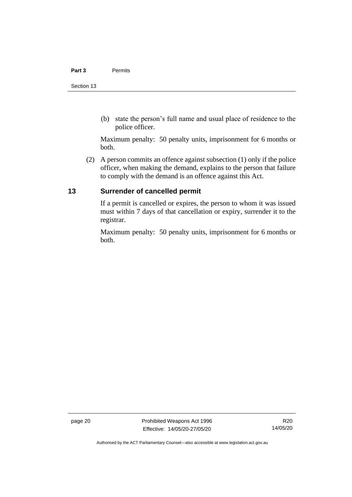#### **Part 3** Permits

(b) state the person's full name and usual place of residence to the police officer.

Maximum penalty: 50 penalty units, imprisonment for 6 months or both.

(2) A person commits an offence against subsection (1) only if the police officer, when making the demand, explains to the person that failure to comply with the demand is an offence against this Act.

## <span id="page-25-0"></span>**13 Surrender of cancelled permit**

If a permit is cancelled or expires, the person to whom it was issued must within 7 days of that cancellation or expiry, surrender it to the registrar.

Maximum penalty: 50 penalty units, imprisonment for 6 months or both.

page 20 Prohibited Weapons Act 1996 Effective: 14/05/20-27/05/20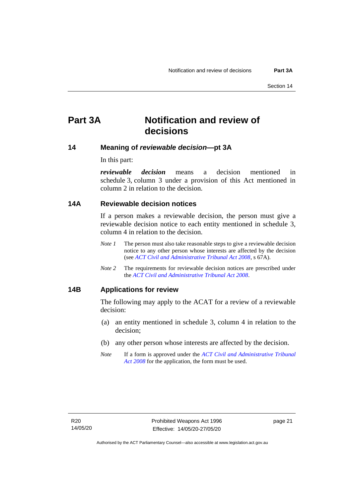## <span id="page-26-0"></span>**Part 3A Notification and review of decisions**

### <span id="page-26-1"></span>**14 Meaning of** *reviewable decision—***pt 3A**

In this part:

*reviewable decision* means a decision mentioned in schedule 3, column 3 under a provision of this Act mentioned in column 2 in relation to the decision.

## <span id="page-26-2"></span>**14A Reviewable decision notices**

If a person makes a reviewable decision, the person must give a reviewable decision notice to each entity mentioned in schedule 3, column 4 in relation to the decision.

- *Note 1* The person must also take reasonable steps to give a reviewable decision notice to any other person whose interests are affected by the decision (see *[ACT Civil and Administrative Tribunal Act 2008](http://www.legislation.act.gov.au/a/2008-35)*, s 67A).
- *Note* 2 The requirements for reviewable decision notices are prescribed under the *[ACT Civil and Administrative Tribunal Act 2008](http://www.legislation.act.gov.au/a/2008-35)*.

### <span id="page-26-3"></span>**14B Applications for review**

The following may apply to the ACAT for a review of a reviewable decision:

- (a) an entity mentioned in schedule 3, column 4 in relation to the decision;
- (b) any other person whose interests are affected by the decision.
- *Note* If a form is approved under the *[ACT Civil and Administrative Tribunal](http://www.legislation.act.gov.au/a/2008-35)  [Act 2008](http://www.legislation.act.gov.au/a/2008-35)* for the application, the form must be used.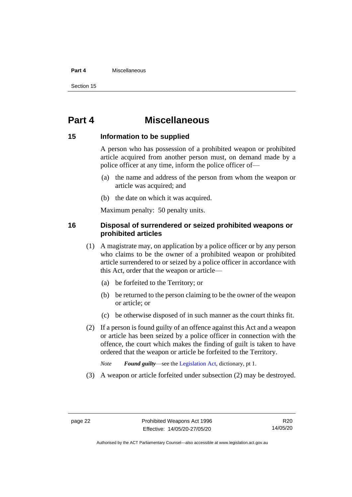#### **Part 4** Miscellaneous

Section 15

## <span id="page-27-0"></span>**Part 4 Miscellaneous**

### <span id="page-27-1"></span>**15 Information to be supplied**

A person who has possession of a prohibited weapon or prohibited article acquired from another person must, on demand made by a police officer at any time, inform the police officer of—

- (a) the name and address of the person from whom the weapon or article was acquired; and
- (b) the date on which it was acquired.

Maximum penalty: 50 penalty units.

## <span id="page-27-2"></span>**16 Disposal of surrendered or seized prohibited weapons or prohibited articles**

- (1) A magistrate may, on application by a police officer or by any person who claims to be the owner of a prohibited weapon or prohibited article surrendered to or seized by a police officer in accordance with this Act, order that the weapon or article—
	- (a) be forfeited to the Territory; or
	- (b) be returned to the person claiming to be the owner of the weapon or article; or
	- (c) be otherwise disposed of in such manner as the court thinks fit.
- (2) If a person is found guilty of an offence against this Act and a weapon or article has been seized by a police officer in connection with the offence, the court which makes the finding of guilt is taken to have ordered that the weapon or article be forfeited to the Territory.
	- *Note Found guilty*—see th[e Legislation Act,](http://www.legislation.act.gov.au/a/2001-14) dictionary, pt 1.
- (3) A weapon or article forfeited under subsection (2) may be destroyed.

R20 14/05/20

Authorised by the ACT Parliamentary Counsel—also accessible at www.legislation.act.gov.au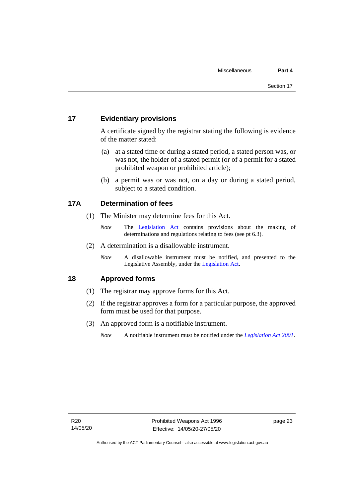## <span id="page-28-0"></span>**17 Evidentiary provisions**

A certificate signed by the registrar stating the following is evidence of the matter stated:

- (a) at a stated time or during a stated period, a stated person was, or was not, the holder of a stated permit (or of a permit for a stated prohibited weapon or prohibited article);
- (b) a permit was or was not, on a day or during a stated period, subject to a stated condition.

### <span id="page-28-1"></span>**17A Determination of fees**

- (1) The Minister may determine fees for this Act.
	- *Note* The [Legislation Act](http://www.legislation.act.gov.au/a/2001-14) contains provisions about the making of determinations and regulations relating to fees (see pt 6.3).
- (2) A determination is a disallowable instrument.
	- *Note* A disallowable instrument must be notified, and presented to the Legislative Assembly, under the [Legislation Act.](http://www.legislation.act.gov.au/a/2001-14)

### <span id="page-28-2"></span>**18 Approved forms**

- (1) The registrar may approve forms for this Act.
- (2) If the registrar approves a form for a particular purpose, the approved form must be used for that purpose.
- (3) An approved form is a notifiable instrument.
	- *Note* A notifiable instrument must be notified under the *[Legislation Act 2001](http://www.legislation.act.gov.au/a/2001-14)*.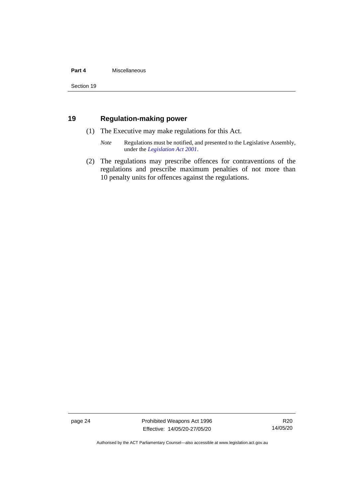#### **Part 4** Miscellaneous

Section 19

## <span id="page-29-0"></span>**19 Regulation-making power**

- (1) The Executive may make regulations for this Act.
	- *Note* Regulations must be notified, and presented to the Legislative Assembly, under the *[Legislation Act 2001](http://www.legislation.act.gov.au/a/2001-14)*.
- (2) The regulations may prescribe offences for contraventions of the regulations and prescribe maximum penalties of not more than 10 penalty units for offences against the regulations.

page 24 Prohibited Weapons Act 1996 Effective: 14/05/20-27/05/20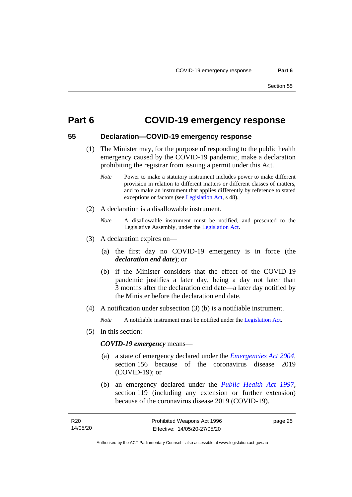## <span id="page-30-0"></span>**Part 6 COVID-19 emergency response**

## <span id="page-30-1"></span>**55 Declaration—COVID-19 emergency response**

- (1) The Minister may, for the purpose of responding to the public health emergency caused by the COVID-19 pandemic, make a declaration prohibiting the registrar from issuing a permit under this Act.
	- *Note* Power to make a statutory instrument includes power to make different provision in relation to different matters or different classes of matters, and to make an instrument that applies differently by reference to stated exceptions or factors (see [Legislation Act,](http://www.legislation.act.gov.au/a/2001-14) s 48).
- (2) A declaration is a disallowable instrument.
	- *Note* A disallowable instrument must be notified, and presented to the Legislative Assembly, under the [Legislation Act.](http://www.legislation.act.gov.au/a/2001-14)
- (3) A declaration expires on—
	- (a) the first day no COVID-19 emergency is in force (the *declaration end date*); or
	- (b) if the Minister considers that the effect of the COVID-19 pandemic justifies a later day, being a day not later than 3 months after the declaration end date—a later day notified by the Minister before the declaration end date.
- (4) A notification under subsection (3) (b) is a notifiable instrument.

*Note* A notifiable instrument must be notified under the [Legislation Act.](http://www.legislation.act.gov.au/a/2001-14)

(5) In this section:

#### *COVID-19 emergency* means—

- (a) a state of emergency declared under the *[Emergencies Act](http://www.legislation.act.gov.au/a/2004-28) 2004*, section 156 because of the coronavirus disease 2019 (COVID-19); or
- (b) an emergency declared under the *[Public Health Act 1997](http://www.legislation.act.gov.au/a/1997-69)*, section 119 (including any extension or further extension) because of the coronavirus disease 2019 (COVID-19).

page 25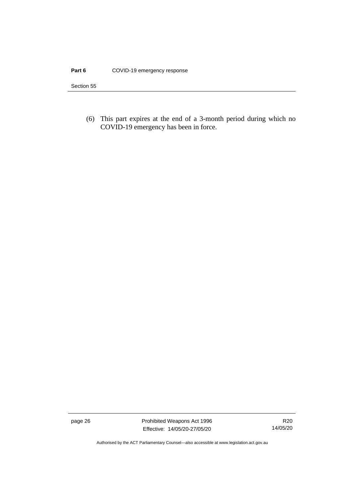#### Part 6 COVID-19 emergency response

Section 55

(6) This part expires at the end of a 3-month period during which no COVID-19 emergency has been in force.

page 26 **Prohibited Weapons Act 1996** Effective: 14/05/20-27/05/20

R20 14/05/20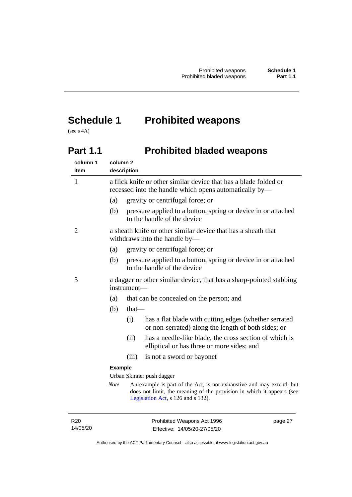## <span id="page-32-0"></span>**Schedule 1 Prohibited weapons**

<span id="page-32-1"></span>(see s 4A)

## **Part 1.1 Prohibited bladed weapons**

| column 1<br>item | column <sub>2</sub><br>description |                                                                                                                            |                                                                                                                                                                                     |  |
|------------------|------------------------------------|----------------------------------------------------------------------------------------------------------------------------|-------------------------------------------------------------------------------------------------------------------------------------------------------------------------------------|--|
| $\mathbf{1}$     |                                    | a flick knife or other similar device that has a blade folded or<br>recessed into the handle which opens automatically by— |                                                                                                                                                                                     |  |
|                  | (a)                                |                                                                                                                            | gravity or centrifugal force; or                                                                                                                                                    |  |
|                  | (b)                                |                                                                                                                            | pressure applied to a button, spring or device in or attached<br>to the handle of the device                                                                                        |  |
| $\overline{2}$   |                                    |                                                                                                                            | a sheath knife or other similar device that has a sheath that<br>withdraws into the handle by-                                                                                      |  |
|                  | (a)                                |                                                                                                                            | gravity or centrifugal force; or                                                                                                                                                    |  |
|                  | (b)                                |                                                                                                                            | pressure applied to a button, spring or device in or attached<br>to the handle of the device                                                                                        |  |
| 3                |                                    | instrument-                                                                                                                | a dagger or other similar device, that has a sharp-pointed stabbing                                                                                                                 |  |
|                  | (a)                                |                                                                                                                            | that can be concealed on the person; and                                                                                                                                            |  |
|                  | (b)                                | $that$ —                                                                                                                   |                                                                                                                                                                                     |  |
|                  |                                    | (i)                                                                                                                        | has a flat blade with cutting edges (whether serrated<br>or non-serrated) along the length of both sides; or                                                                        |  |
|                  |                                    | (ii)                                                                                                                       | has a needle-like blade, the cross section of which is<br>elliptical or has three or more sides; and                                                                                |  |
|                  |                                    | (iii)                                                                                                                      | is not a sword or bayonet                                                                                                                                                           |  |
|                  | <b>Example</b>                     |                                                                                                                            |                                                                                                                                                                                     |  |
|                  |                                    | Urban Skinner push dagger                                                                                                  |                                                                                                                                                                                     |  |
|                  | <b>Note</b>                        |                                                                                                                            | An example is part of the Act, is not exhaustive and may extend, but<br>does not limit, the meaning of the provision in which it appears (see<br>Legislation Act, s 126 and s 132). |  |
|                  |                                    |                                                                                                                            |                                                                                                                                                                                     |  |

page 27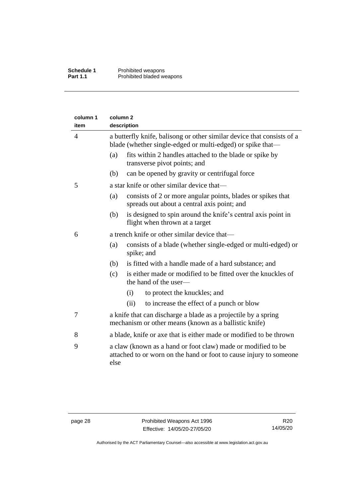| column 1<br>item | column <sub>2</sub><br>description                                                                                                         |  |  |
|------------------|--------------------------------------------------------------------------------------------------------------------------------------------|--|--|
| $\overline{4}$   | a butterfly knife, balisong or other similar device that consists of a<br>blade (whether single-edged or multi-edged) or spike that—       |  |  |
|                  | fits within 2 handles attached to the blade or spike by<br>(a)<br>transverse pivot points; and                                             |  |  |
|                  | (b)<br>can be opened by gravity or centrifugal force                                                                                       |  |  |
| 5                | a star knife or other similar device that—                                                                                                 |  |  |
|                  | consists of 2 or more angular points, blades or spikes that<br>(a)<br>spreads out about a central axis point; and                          |  |  |
|                  | is designed to spin around the knife's central axis point in<br>(b)<br>flight when thrown at a target                                      |  |  |
| 6                | a trench knife or other similar device that—                                                                                               |  |  |
|                  | consists of a blade (whether single-edged or multi-edged) or<br>(a)<br>spike; and                                                          |  |  |
|                  | is fitted with a handle made of a hard substance; and<br>(b)                                                                               |  |  |
|                  | is either made or modified to be fitted over the knuckles of<br>(c)<br>the hand of the user-                                               |  |  |
|                  | to protect the knuckles; and<br>(i)                                                                                                        |  |  |
|                  | to increase the effect of a punch or blow<br>(ii)                                                                                          |  |  |
| 7                | a knife that can discharge a blade as a projectile by a spring<br>mechanism or other means (known as a ballistic knife)                    |  |  |
| 8                | a blade, knife or axe that is either made or modified to be thrown                                                                         |  |  |
| 9                | a claw (known as a hand or foot claw) made or modified to be<br>attached to or worn on the hand or foot to cause injury to someone<br>else |  |  |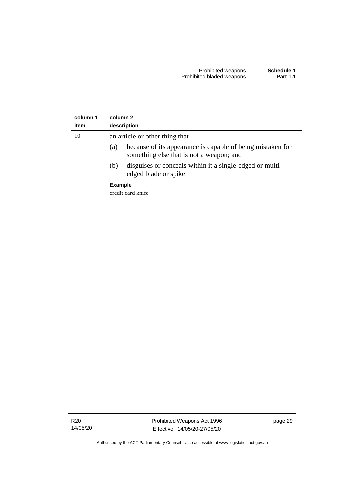| column 1<br>item | column 2<br>description                                                                                       |  |
|------------------|---------------------------------------------------------------------------------------------------------------|--|
| 10               | an article or other thing that—                                                                               |  |
|                  | because of its appearance is capable of being mistaken for<br>(a)<br>something else that is not a weapon; and |  |
|                  | disguises or conceals within it a single-edged or multi-<br>(b)<br>edged blade or spike                       |  |
|                  | <b>Example</b>                                                                                                |  |
|                  | credit card knife                                                                                             |  |

R20 14/05/20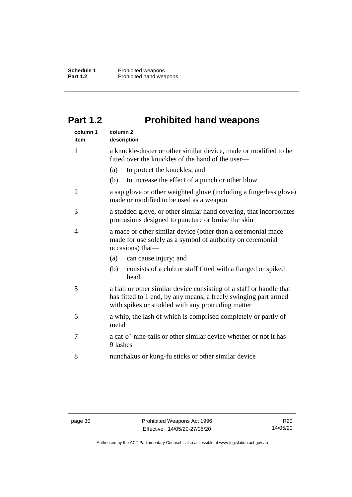## <span id="page-35-0"></span>**Part 1.2 Prohibited hand weapons**

| column 1<br>item | column <sub>2</sub><br>description                                                                                                                                                           |  |
|------------------|----------------------------------------------------------------------------------------------------------------------------------------------------------------------------------------------|--|
| 1                | a knuckle-duster or other similar device, made or modified to be<br>fitted over the knuckles of the hand of the user—                                                                        |  |
|                  | (a)<br>to protect the knuckles; and                                                                                                                                                          |  |
|                  | to increase the effect of a punch or other blow<br>(b)                                                                                                                                       |  |
| $\overline{2}$   | a sap glove or other weighted glove (including a fingerless glove)<br>made or modified to be used as a weapon                                                                                |  |
| 3                | a studded glove, or other similar hand covering, that incorporates<br>protrusions designed to puncture or bruise the skin                                                                    |  |
| $\overline{4}$   | a mace or other similar device (other than a ceremonial mace<br>made for use solely as a symbol of authority on ceremonial<br>occasions) that-                                               |  |
|                  | (a)<br>can cause injury; and                                                                                                                                                                 |  |
|                  | (b)<br>consists of a club or staff fitted with a flanged or spiked<br>head                                                                                                                   |  |
| 5                | a flail or other similar device consisting of a staff or handle that<br>has fitted to 1 end, by any means, a freely swinging part armed<br>with spikes or studded with any protruding matter |  |
| 6                | a whip, the lash of which is comprised completely or partly of<br>metal                                                                                                                      |  |
| 7                | a cat-o'-nine-tails or other similar device whether or not it has<br>9 lashes                                                                                                                |  |
| 8                | nunchakus or kung-fu sticks or other similar device                                                                                                                                          |  |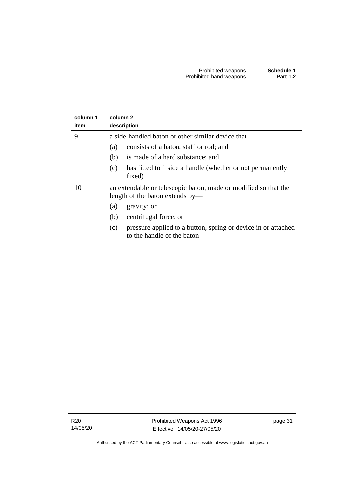| column 1 | column 2                                                                                           |  |  |
|----------|----------------------------------------------------------------------------------------------------|--|--|
| item     | description                                                                                        |  |  |
| 9        | a side-handled baton or other similar device that—                                                 |  |  |
|          | consists of a baton, staff or rod; and<br>(a)                                                      |  |  |
|          | is made of a hard substance; and<br>(b)                                                            |  |  |
|          | has fitted to 1 side a handle (whether or not permanently<br>(c)<br>fixed)                         |  |  |
| 10       | an extendable or telescopic baton, made or modified so that the<br>length of the baton extends by— |  |  |
|          | gravity; or<br>(a)                                                                                 |  |  |
|          | centrifugal force; or<br>(b)                                                                       |  |  |
|          | pressure applied to a button, spring or device in or attached<br>(c)<br>to the handle of the baton |  |  |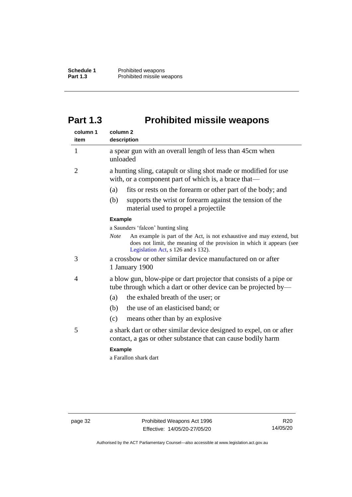## <span id="page-37-0"></span>**Part 1.3 Prohibited missile weapons**

| column 1<br>item | column <sub>2</sub><br>description                                                                                                                                                                 |  |  |
|------------------|----------------------------------------------------------------------------------------------------------------------------------------------------------------------------------------------------|--|--|
| $\mathbf{1}$     | a spear gun with an overall length of less than 45cm when<br>unloaded                                                                                                                              |  |  |
| $\overline{2}$   | a hunting sling, catapult or sling shot made or modified for use<br>with, or a component part of which is, a brace that—                                                                           |  |  |
|                  | fits or rests on the forearm or other part of the body; and<br>(a)                                                                                                                                 |  |  |
|                  | supports the wrist or forearm against the tension of the<br>(b)<br>material used to propel a projectile.                                                                                           |  |  |
|                  | <b>Example</b>                                                                                                                                                                                     |  |  |
|                  | a Saunders 'falcon' hunting sling                                                                                                                                                                  |  |  |
|                  | An example is part of the Act, is not exhaustive and may extend, but<br><b>Note</b><br>does not limit, the meaning of the provision in which it appears (see<br>Legislation Act, s 126 and s 132). |  |  |
| 3                | a crossbow or other similar device manufactured on or after<br>1 January 1900                                                                                                                      |  |  |
| 4                | a blow gun, blow-pipe or dart projector that consists of a pipe or<br>tube through which a dart or other device can be projected by—                                                               |  |  |
|                  | the exhaled breath of the user; or<br>(a)                                                                                                                                                          |  |  |
|                  | the use of an elasticised band; or<br>(b)                                                                                                                                                          |  |  |
|                  | (c)<br>means other than by an explosive                                                                                                                                                            |  |  |
| 5                | a shark dart or other similar device designed to expel, on or after<br>contact, a gas or other substance that can cause bodily harm                                                                |  |  |
|                  | <b>Example</b>                                                                                                                                                                                     |  |  |
|                  | a Farallon shark dart                                                                                                                                                                              |  |  |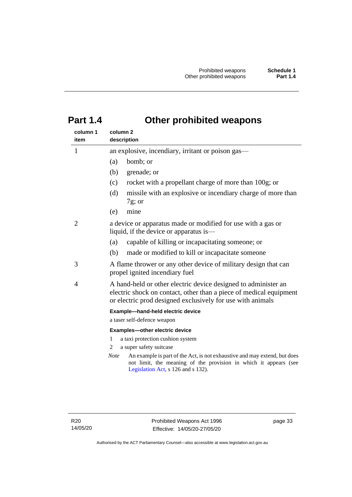## <span id="page-38-0"></span>**Part 1.4 Other prohibited weapons**

| column 1       | column 2                                                                                                                                                                                           |  |  |
|----------------|----------------------------------------------------------------------------------------------------------------------------------------------------------------------------------------------------|--|--|
| item           | description                                                                                                                                                                                        |  |  |
| $\mathbf{1}$   | an explosive, incendiary, irritant or poison gas—                                                                                                                                                  |  |  |
|                | bomb; or<br>(a)                                                                                                                                                                                    |  |  |
|                | (b)<br>grenade; or                                                                                                                                                                                 |  |  |
|                | rocket with a propellant charge of more than 100g; or<br>(c)                                                                                                                                       |  |  |
|                | missile with an explosive or incendiary charge of more than<br>(d)<br>$7g$ ; or                                                                                                                    |  |  |
|                | mine<br>(e)                                                                                                                                                                                        |  |  |
| $\overline{2}$ | a device or apparatus made or modified for use with a gas or<br>liquid, if the device or apparatus is—                                                                                             |  |  |
|                | capable of killing or incapacitating someone; or<br>(a)                                                                                                                                            |  |  |
|                | made or modified to kill or incapacitate someone<br>(b)                                                                                                                                            |  |  |
| 3              | A flame thrower or any other device of military design that can<br>propel ignited incendiary fuel                                                                                                  |  |  |
| 4              | A hand-held or other electric device designed to administer an<br>electric shock on contact, other than a piece of medical equipment<br>or electric prod designed exclusively for use with animals |  |  |
|                | Example-hand-held electric device                                                                                                                                                                  |  |  |
|                | a taser self-defence weapon                                                                                                                                                                        |  |  |
|                | Examples-other electric device                                                                                                                                                                     |  |  |
|                | 1<br>a taxi protection cushion system                                                                                                                                                              |  |  |
|                | a super safety suitcase<br>2                                                                                                                                                                       |  |  |
|                | <b>Note</b><br>An example is part of the Act, is not exhaustive and may extend, but does<br>not limit, the meaning of the provision in which it appears (see<br>Legislation Act, s 126 and s 132). |  |  |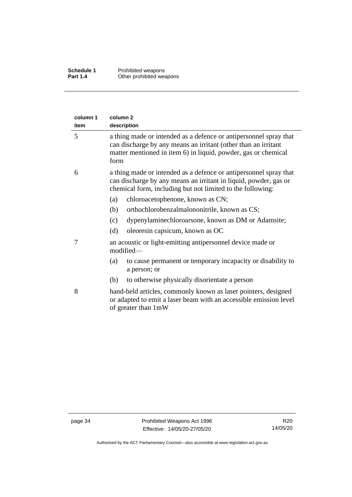| column 1<br>item | column 2<br>description                                                                                                                                                                                       |
|------------------|---------------------------------------------------------------------------------------------------------------------------------------------------------------------------------------------------------------|
| 5                | a thing made or intended as a defence or antipersonnel spray that<br>can discharge by any means an irritant (other than an irritant<br>matter mentioned in item 6) in liquid, powder, gas or chemical<br>form |
| 6                | a thing made or intended as a defence or antipersonnel spray that<br>can discharge by any means an irritant in liquid, powder, gas or<br>chemical form, including but not limited to the following:           |
|                  | chloroacetophenone, known as CN;<br>(a)                                                                                                                                                                       |
|                  | orthochlorobenzalmalononitrile, known as CS;<br>(b)                                                                                                                                                           |
|                  | dypenylaminechloroarsone, known as DM or Adamsite;<br>(c)                                                                                                                                                     |
|                  | oleoresin capsicum, known as OC<br>(d)                                                                                                                                                                        |
| 7                | an acoustic or light-emitting antipersonnel device made or<br>modified-                                                                                                                                       |
|                  | to cause permanent or temporary incapacity or disability to<br>(a)<br>a person; or                                                                                                                            |
|                  | to otherwise physically disorientate a person<br>(b)                                                                                                                                                          |
| 8                | hand-held articles, commonly known as laser pointers, designed<br>or adapted to emit a laser beam with an accessible emission level<br>of greater than 1mW                                                    |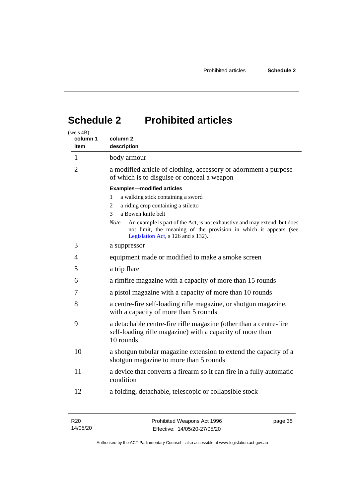## <span id="page-40-0"></span>**Schedule 2 Prohibited articles**

| (see s $4B$ )<br>column 1<br>item | column 2<br>description                                                                                                                                                                                                                                                                                                                                   |
|-----------------------------------|-----------------------------------------------------------------------------------------------------------------------------------------------------------------------------------------------------------------------------------------------------------------------------------------------------------------------------------------------------------|
| $\mathbf{1}$                      | body armour                                                                                                                                                                                                                                                                                                                                               |
| 2                                 | a modified article of clothing, accessory or adornment a purpose<br>of which is to disguise or conceal a weapon                                                                                                                                                                                                                                           |
|                                   | <b>Examples-modified articles</b><br>a walking stick containing a sword<br>1<br>a riding crop containing a stiletto<br>2<br>a Bowen knife belt<br>3<br><b>Note</b><br>An example is part of the Act, is not exhaustive and may extend, but does<br>not limit, the meaning of the provision in which it appears (see<br>Legislation Act, s 126 and s 132). |
| 3                                 | a suppressor                                                                                                                                                                                                                                                                                                                                              |
| 4                                 | equipment made or modified to make a smoke screen                                                                                                                                                                                                                                                                                                         |
| 5                                 | a trip flare                                                                                                                                                                                                                                                                                                                                              |
| 6                                 | a rimfire magazine with a capacity of more than 15 rounds                                                                                                                                                                                                                                                                                                 |
| 7                                 | a pistol magazine with a capacity of more than 10 rounds                                                                                                                                                                                                                                                                                                  |
| 8                                 | a centre-fire self-loading rifle magazine, or shotgun magazine,<br>with a capacity of more than 5 rounds                                                                                                                                                                                                                                                  |
| 9                                 | a detachable centre-fire rifle magazine (other than a centre-fire<br>self-loading rifle magazine) with a capacity of more than<br>10 rounds                                                                                                                                                                                                               |
| 10                                | a shotgun tubular magazine extension to extend the capacity of a<br>shotgun magazine to more than 5 rounds                                                                                                                                                                                                                                                |
| 11                                | a device that converts a firearm so it can fire in a fully automatic<br>condition                                                                                                                                                                                                                                                                         |
| 12                                | a folding, detachable, telescopic or collapsible stock                                                                                                                                                                                                                                                                                                    |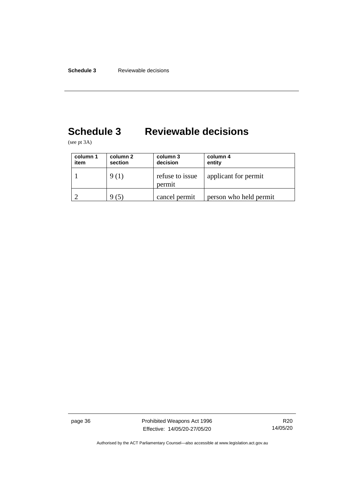# <span id="page-41-0"></span>**Schedule 3 Reviewable decisions**

(see pt 3A)

| column 1<br>item | column 2<br>section | column 3<br>decision      | column 4<br>entity     |
|------------------|---------------------|---------------------------|------------------------|
|                  | 9(1)                | refuse to issue<br>permit | applicant for permit   |
|                  |                     | cancel permit             | person who held permit |

page 36 **Prohibited Weapons Act 1996** Effective: 14/05/20-27/05/20

R20 14/05/20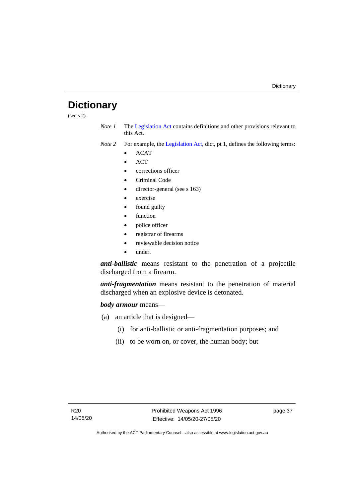## <span id="page-42-0"></span>**Dictionary**

(see s 2)

- *Note 1* The [Legislation Act](http://www.legislation.act.gov.au/a/2001-14) contains definitions and other provisions relevant to this Act.
- *Note 2* For example, the [Legislation Act,](http://www.legislation.act.gov.au/a/2001-14) dict, pt 1, defines the following terms:
	- ACAT
	- ACT
	- corrections officer
	- Criminal Code
	- director-general (see s 163)
	- exercise
	- found guilty
	- function
	- police officer
	- registrar of firearms
	- reviewable decision notice
	- under.

*anti-ballistic* means resistant to the penetration of a projectile discharged from a firearm.

*anti-fragmentation* means resistant to the penetration of material discharged when an explosive device is detonated.

#### *body armour* means—

- (a) an article that is designed—
	- (i) for anti-ballistic or anti-fragmentation purposes; and
	- (ii) to be worn on, or cover, the human body; but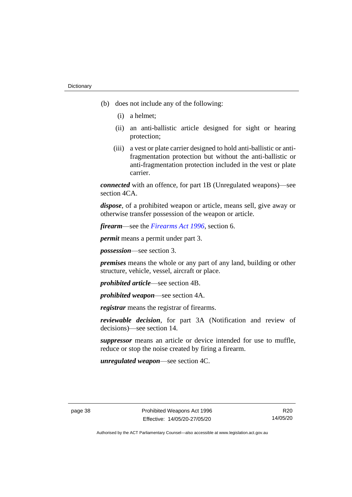- (b) does not include any of the following:
	- (i) a helmet;
	- (ii) an anti-ballistic article designed for sight or hearing protection;
	- (iii) a vest or plate carrier designed to hold anti-ballistic or antifragmentation protection but without the anti-ballistic or anti-fragmentation protection included in the vest or plate carrier.

*connected* with an offence, for part 1B (Unregulated weapons)—see section 4CA.

*dispose*, of a prohibited weapon or article, means sell, give away or otherwise transfer possession of the weapon or article.

*firearm*—see the *[Firearms Act 1996](http://www.legislation.act.gov.au/a/1996-74)*, section 6.

*permit* means a permit under part 3.

*possession*—see section 3.

*premises* means the whole or any part of any land, building or other structure, vehicle, vessel, aircraft or place.

*prohibited article*—see section 4B.

*prohibited weapon*—see section 4A.

*registrar* means the registrar of firearms.

*reviewable decision*, for part 3A (Notification and review of decisions)—see section 14.

*suppressor* means an article or device intended for use to muffle, reduce or stop the noise created by firing a firearm.

*unregulated weapon*—see section 4C.

R20 14/05/20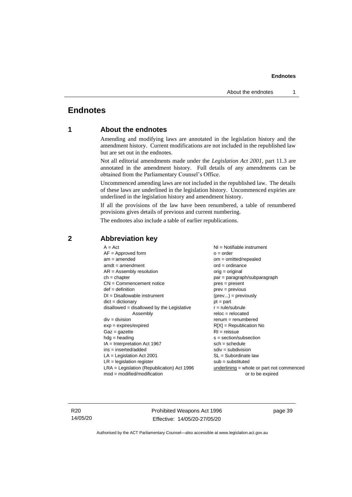## <span id="page-44-1"></span><span id="page-44-0"></span>**Endnotes**

### **1 About the endnotes**

Amending and modifying laws are annotated in the legislation history and the amendment history. Current modifications are not included in the republished law but are set out in the endnotes.

Not all editorial amendments made under the *Legislation Act 2001*, part 11.3 are annotated in the amendment history. Full details of any amendments can be obtained from the Parliamentary Counsel's Office.

Uncommenced amending laws are not included in the republished law. The details of these laws are underlined in the legislation history. Uncommenced expiries are underlined in the legislation history and amendment history.

If all the provisions of the law have been renumbered, a table of renumbered provisions gives details of previous and current numbering.

The endnotes also include a table of earlier republications.

| $A = Act$                                    | $NI = Notifiable$ instrument                |
|----------------------------------------------|---------------------------------------------|
| $AF =$ Approved form                         | $o = order$                                 |
| $am = amended$                               | $om = omitted/repealed$                     |
| $amdt = amendment$                           | $ord = ordinance$                           |
| $AR = Assembly$ resolution                   | $orig = original$                           |
| $ch = chapter$                               | par = paragraph/subparagraph                |
| $CN =$ Commencement notice                   | pres = present                              |
| $def = definition$                           | $prev = previous$                           |
| $DI = Disallowable instrument$               | $(\text{prev}) = \text{previously}$         |
| $dict = dictionary$                          | $pt = part$                                 |
| disallowed = disallowed by the Legislative   | $r = rule/subrule$                          |
| Assembly                                     | $reloc = relocated$                         |
| $div = division$                             | $renum = renumbered$                        |
| $exp = expires/expired$                      | $R[X]$ = Republication No                   |
| $Gaz = gazette$                              | $RI =$ reissue                              |
| $hdg =$ heading                              | $s = section/subsection$                    |
| $IA = Interpretation Act 1967$               | $sch = schedule$                            |
| $ins = inserted/added$                       | $sdiv = subdivision$                        |
| $LA =$ Legislation Act 2001                  | $SL = Subordinate$ law                      |
| $LR =$ legislation register                  | $sub =$ substituted                         |
| $LRA =$ Legislation (Republication) Act 1996 | $underlining = whole or part not commenced$ |
| $mod = modified/modification$                | or to be expired                            |
|                                              |                                             |

### <span id="page-44-2"></span>**2 Abbreviation key**

R20 14/05/20 Prohibited Weapons Act 1996 Effective: 14/05/20-27/05/20

page 39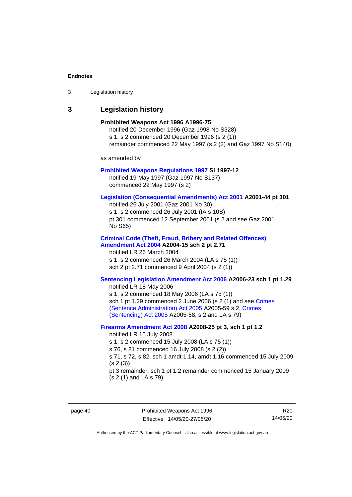| 3 | Legislation history |  |
|---|---------------------|--|
|---|---------------------|--|

## <span id="page-45-0"></span>**3 Legislation history**

| ע ושטוח וושטושופ                                                                                                                                                                                                                                                                                                                                                    |  |
|---------------------------------------------------------------------------------------------------------------------------------------------------------------------------------------------------------------------------------------------------------------------------------------------------------------------------------------------------------------------|--|
| Prohibited Weapons Act 1996 A1996-75<br>notified 20 December 1996 (Gaz 1998 No S328)<br>s 1, s 2 commenced 20 December 1996 (s 2 (1))<br>remainder commenced 22 May 1997 (s 2 (2) and Gaz 1997 No S140)                                                                                                                                                             |  |
| as amended by                                                                                                                                                                                                                                                                                                                                                       |  |
| <b>Prohibited Weapons Regulations 1997 SL1997-12</b><br>notified 19 May 1997 (Gaz 1997 No S137)<br>commenced 22 May 1997 (s 2)                                                                                                                                                                                                                                      |  |
| Legislation (Consequential Amendments) Act 2001 A2001-44 pt 301<br>notified 26 July 2001 (Gaz 2001 No 30)<br>s 1, s 2 commenced 26 July 2001 (IA s 10B)<br>pt 301 commenced 12 September 2001 (s 2 and see Gaz 2001<br>No S65)                                                                                                                                      |  |
| <b>Criminal Code (Theft, Fraud, Bribery and Related Offences)</b><br>Amendment Act 2004 A2004-15 sch 2 pt 2.71<br>notified LR 26 March 2004<br>s 1, s 2 commenced 26 March 2004 (LA s 75 (1))<br>sch 2 pt 2.71 commenced 9 April 2004 (s 2 (1))                                                                                                                     |  |
| Sentencing Legislation Amendment Act 2006 A2006-23 sch 1 pt 1.29<br>notified LR 18 May 2006<br>s 1, s 2 commenced 18 May 2006 (LA s 75 (1))<br>sch 1 pt 1.29 commenced 2 June 2006 (s 2 (1) and see Crimes<br>(Sentence Administration) Act 2005 A2005-59 s 2, Crimes<br>(Sentencing) Act 2005 A2005-58, s 2 and LA s 79)                                           |  |
| Firearms Amendment Act 2008 A2008-25 pt 3, sch 1 pt 1.2<br>notified LR 15 July 2008<br>s 1, s 2 commenced 15 July 2008 (LA s 75 (1))<br>s 76, s 81 commenced 16 July 2008 (s 2 (2))<br>s 71, s 72, s 82, sch 1 amdt 1.14, amdt 1.16 commenced 15 July 2009<br>(s 2(3))<br>pt 3 remainder, sch 1 pt 1.2 remainder commenced 15 January 2009<br>(s 2 (1) and LA s 79) |  |
|                                                                                                                                                                                                                                                                                                                                                                     |  |

R20 14/05/20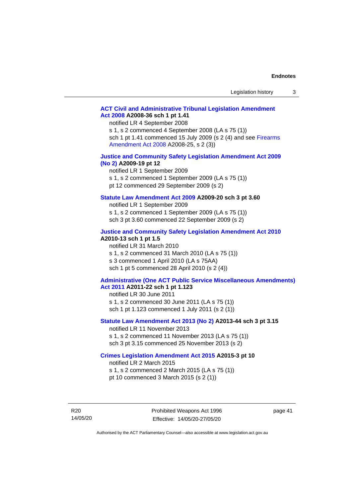#### **[ACT Civil and Administrative Tribunal Legislation Amendment](http://www.legislation.act.gov.au/a/2008-36)  Act [2008](http://www.legislation.act.gov.au/a/2008-36) A2008-36 sch 1 pt 1.41**

notified LR 4 September 2008

s 1, s 2 commenced 4 September 2008 (LA s 75 (1)) sch 1 pt 1.41 commenced 15 July 2009 (s 2 (4) and see Firearms [Amendment Act 2008](http://www.legislation.act.gov.au/a/2008-25) A2008-25, s 2 (3))

#### **[Justice and Community Safety Legislation Amendment Act 2009](http://www.legislation.act.gov.au/a/2009-19)  [\(No](http://www.legislation.act.gov.au/a/2009-19) 2) A2009-19 pt 12**

notified LR 1 September 2009 s 1, s 2 commenced 1 September 2009 (LA s 75 (1)) pt 12 commenced 29 September 2009 (s 2)

#### **[Statute Law Amendment Act 2009](http://www.legislation.act.gov.au/a/2009-20) A2009-20 sch 3 pt 3.60**

notified LR 1 September 2009 s 1, s 2 commenced 1 September 2009 (LA s 75 (1)) sch 3 pt 3.60 commenced 22 September 2009 (s 2)

#### **[Justice and Community Safety Legislation Amendment Act 2010](http://www.legislation.act.gov.au/a/2010-13)**

#### **A2010-13 sch 1 pt 1.5**

notified LR 31 March 2010 s 1, s 2 commenced 31 March 2010 (LA s 75 (1)) s 3 commenced 1 April 2010 (LA s 75AA) sch 1 pt 5 commenced 28 April 2010 (s 2 (4))

#### **[Administrative \(One ACT Public Service Miscellaneous Amendments\)](http://www.legislation.act.gov.au/a/2011-22)  Act [2011](http://www.legislation.act.gov.au/a/2011-22) A2011-22 sch 1 pt 1.123**

notified LR 30 June 2011 s 1, s 2 commenced 30 June 2011 (LA s 75 (1)) sch 1 pt 1.123 commenced 1 July 2011 (s 2 (1))

#### **[Statute Law Amendment Act 2013 \(No](http://www.legislation.act.gov.au/a/2013-44) 2) A2013-44 sch 3 pt 3.15**

notified LR 11 November 2013 s 1, s 2 commenced 11 November 2013 (LA s 75 (1)) sch 3 pt 3.15 commenced 25 November 2013 (s 2)

#### **[Crimes Legislation Amendment Act 2015](http://www.legislation.act.gov.au/a/2015-3/default.asp) A2015-3 pt 10**

notified LR 2 March 2015

s 1, s 2 commenced 2 March 2015 (LA s 75 (1)) pt 10 commenced 3 March 2015 (s 2 (1))

R20 14/05/20 page 41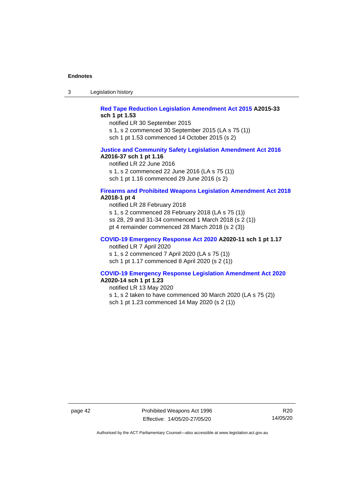3 Legislation history

#### **[Red Tape Reduction Legislation Amendment Act 2015](http://www.legislation.act.gov.au/a/2015-33/default.asp) A2015-33 sch 1 pt 1.53**

notified LR 30 September 2015

s 1, s 2 commenced 30 September 2015 (LA s 75 (1))

sch 1 pt 1.53 commenced 14 October 2015 (s 2)

#### **[Justice and Community Safety Legislation Amendment Act 2016](http://www.legislation.act.gov.au/a/2016-37) A2016-37 sch 1 pt 1.16**

notified LR 22 June 2016 s 1, s 2 commenced 22 June 2016 (LA s 75 (1)) sch 1 pt 1.16 commenced 29 June 2016 (s 2)

#### **[Firearms and Prohibited Weapons Legislation Amendment Act 2018](http://www.legislation.act.gov.au/a/2018-1/default.asp) A2018-1 pt 4**

notified LR 28 February 2018 s 1, s 2 commenced 28 February 2018 (LA s 75 (1)) ss 28, 29 and 31-34 commenced 1 March 2018 (s 2 (1)) pt 4 remainder commenced 28 March 2018 (s 2 (3))

#### **[COVID-19 Emergency Response Act 2020](http://www.legislation.act.gov.au/a/2020-11/#history) A2020-11 sch 1 pt 1.17**

notified LR 7 April 2020

s 1, s 2 commenced 7 April 2020 (LA s 75 (1)) sch 1 pt 1.17 commenced 8 April 2020 (s 2 (1))

#### **[COVID-19 Emergency Response Legislation Amendment Act 2020](http://www.legislation.act.gov.au/a/2020-14/) A2020-14 sch 1 pt 1.23**

notified LR 13 May 2020

s 1, s 2 taken to have commenced 30 March 2020 (LA s 75 (2))

sch 1 pt 1.23 commenced 14 May 2020 (s 2 (1))

page 42 Prohibited Weapons Act 1996 Effective: 14/05/20-27/05/20

R20 14/05/20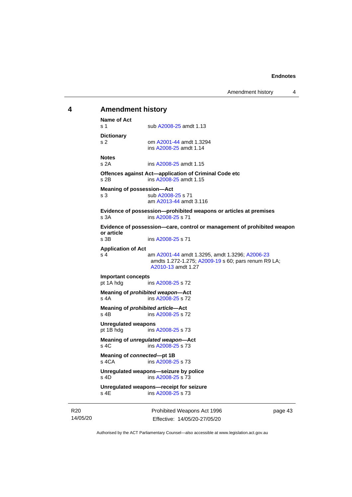## <span id="page-48-0"></span>**4 Amendment history Name of Act** s 1 sub [A2008-25](http://www.legislation.act.gov.au/a/2008-25) amdt 1.13 **Dictionary** s 2 om [A2001-44](http://www.legislation.act.gov.au/a/2001-44) amdt 1.3294 ins [A2008-25](http://www.legislation.act.gov.au/a/2008-25) amdt 1.14 **Notes** s 2A ins [A2008-25](http://www.legislation.act.gov.au/a/2008-25) amdt 1.15 **Offences against Act—application of Criminal Code etc** s 2B ins [A2008-25](http://www.legislation.act.gov.au/a/2008-25) amdt 1.15 **Meaning of possession—Act** s 3 sub [A2008-25](http://www.legislation.act.gov.au/a/2008-25) s 71 am [A2013-44](http://www.legislation.act.gov.au/a/2013-44) amdt 3.116 **Evidence of possession—prohibited weapons or articles at premises** s 3A ins [A2008-25](http://www.legislation.act.gov.au/a/2008-25) s 71 **Evidence of possession—care, control or management of prohibited weapon or article** ins [A2008-25](http://www.legislation.act.gov.au/a/2008-25) s 71 **Application of Act** s 4 am [A2001-44](http://www.legislation.act.gov.au/a/2001-44) amdt 1.3295, amdt 1.3296[; A2006-23](http://www.legislation.act.gov.au/a/2006-23) amdts 1.272-1.275; [A2009-19](http://www.legislation.act.gov.au/a/2009-19) s 60; pars renum R9 LA; [A2010-13](http://www.legislation.act.gov.au/a/2010-13) amdt 1.27 **Important concepts** ins [A2008-25](http://www.legislation.act.gov.au/a/2008-25) s 72 **Meaning of** *prohibited weapon***—Act** s 4A ins [A2008-25](http://www.legislation.act.gov.au/a/2008-25) s 72 **Meaning of** *prohibited article***—Act** s 4B ins [A2008-25](http://www.legislation.act.gov.au/a/2008-25) s 72 **Unregulated weapons** pt 1B hdg ins [A2008-25](http://www.legislation.act.gov.au/a/2008-25) s 73 **Meaning of** *unregulated weapon***—Act** s 4C ins [A2008-25](http://www.legislation.act.gov.au/a/2008-25) s 73 **Meaning of** *connected***—pt 1B** s 4CA ins [A2008-25](http://www.legislation.act.gov.au/a/2008-25) s 73 **Unregulated weapons—seizure by police** s 4D ins [A2008-25](http://www.legislation.act.gov.au/a/2008-25) s 73 **Unregulated weapons—receipt for seizure** ins [A2008-25](http://www.legislation.act.gov.au/a/2008-25) s 73

R20 14/05/20 Prohibited Weapons Act 1996 Effective: 14/05/20-27/05/20

page 43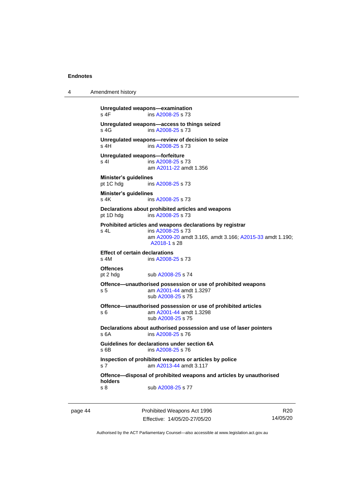4 Amendment history

```
Unregulated weapons—examination
 A2008-25 s 73
Unregulated weapons—access to things seized
 A2008-25 s 73
Unregulated weapons—review of decision to seize
 A2008-25 s 73
Unregulated weapons—forfeiture
 A2008-25 s 73
              am A2011-22 amdt 1.356
Minister's guidelines
pt 1C hdg ins A2008-25 s 73
Minister's guidelines
 A2008-25 s 73
Declarations about prohibited articles and weapons
pt 1D hdg ins A2008-25 s 73
Prohibited articles and weapons declarations by registrar
s 4L ins A2008-25 s 73
               am A2009-20 amdt 3.165, amdt 3.166; A2015-33 amdt 1.190; 
               A2018-1 s 28
Effect of certain declarations
s 4M ins A2008-25 s 73
Offences
 A2008-25 s 74
Offence—unauthorised possession or use of prohibited weapons
 A2001-44 amdt 1.3297
               sub A2008-25 s 75
Offence—unauthorised possession or use of prohibited articles
s 6 am A2001-44 amdt 1.3298
              sub A2008-25 s 75
Declarations about authorised possession and use of laser pointers
s 6A ins A2008-25 s 76
Guidelines for declarations under section 6A
s 6B ins A2008-25 s 76
Inspection of prohibited weapons or articles by police
s 7 am A2013-44 amdt 3.117
Offence—disposal of prohibited weapons and articles by unauthorised 
holders
 A2008-25 s 77
```
page 44 Prohibited Weapons Act 1996 Effective: 14/05/20-27/05/20

R20 14/05/20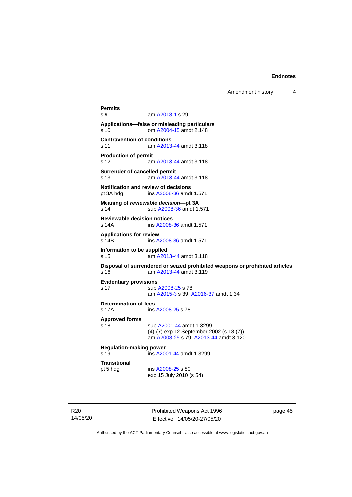Amendment history 4

**Permits** am [A2018-1](http://www.legislation.act.gov.au/a/2018-1/default.asp) s 29 **Applications—false or misleading particulars** s 10 om [A2004-15](http://www.legislation.act.gov.au/a/2004-15) amdt 2.148 **Contravention of conditions** s 11 am [A2013-44](http://www.legislation.act.gov.au/a/2013-44) amdt 3.118 **Production of permit** s 12 am [A2013-44](http://www.legislation.act.gov.au/a/2013-44) amdt 3.118 **Surrender of cancelled permit** s 13 am [A2013-44](http://www.legislation.act.gov.au/a/2013-44) amdt 3.118 **Notification and review of decisions** pt 3A hdg ins [A2008-36](http://www.legislation.act.gov.au/a/2008-36) amdt 1.571 **Meaning of** *reviewable decision—***pt 3A** s 14 sub [A2008-36](http://www.legislation.act.gov.au/a/2008-36) amdt 1.571 **Reviewable decision notices** s 14A ins [A2008-36](http://www.legislation.act.gov.au/a/2008-36) amdt 1.571 **Applications for review** s 14B ins [A2008-36](http://www.legislation.act.gov.au/a/2008-36) amdt 1.571 **Information to be supplied** s 15 am [A2013-44](http://www.legislation.act.gov.au/a/2013-44) amdt 3.118 **Disposal of surrendered or seized prohibited weapons or prohibited articles** s 16 am [A2013-44](http://www.legislation.act.gov.au/a/2013-44) amdt 3.119 **Evidentiary provisions** s 17 sub [A2008-25](http://www.legislation.act.gov.au/a/2008-25) s 78 am [A2015-3](http://www.legislation.act.gov.au/a/2015-3) s 39[; A2016-37](http://www.legislation.act.gov.au/a/2016-37/default.asp) amdt 1.34 **Determination of fees** s 17A ins [A2008-25](http://www.legislation.act.gov.au/a/2008-25) s 78 **Approved forms** s 18 sub [A2001-44](http://www.legislation.act.gov.au/a/2001-44) amdt 1.3299 (4)-(7) exp 12 September 2002 (s 18 (7)) am [A2008-25](http://www.legislation.act.gov.au/a/2008-25) s 79[; A2013-44](http://www.legislation.act.gov.au/a/2013-44) amdt 3.120 **Regulation-making power**<br>s 19 ins A20 ins [A2001-44](http://www.legislation.act.gov.au/a/2001-44) amdt 1.3299 **Transitional** pt 5 hdg ins [A2008-25](http://www.legislation.act.gov.au/a/2008-25) s 80 exp 15 July 2010 (s 54)

R20 14/05/20 Prohibited Weapons Act 1996 Effective: 14/05/20-27/05/20

page 45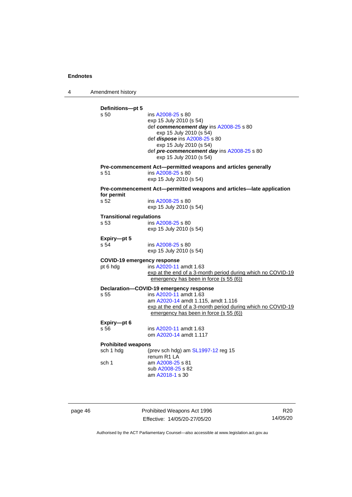4 Amendment history

| s <sub>50</sub>                 | ins A2008-25 s 80<br>exp 15 July 2010 (s 54)<br>def commencement day ins A2008-25 s 80<br>exp 15 July 2010 (s 54)<br>def dispose ins A2008-25 s 80<br>exp 15 July 2010 (s 54)<br>def pre-commencement day ins A2008-25 s 80<br>exp 15 July 2010 (s 54) |
|---------------------------------|--------------------------------------------------------------------------------------------------------------------------------------------------------------------------------------------------------------------------------------------------------|
| s 51                            | Pre-commencement Act-permitted weapons and articles generally<br>ins A2008-25 s 80<br>exp 15 July 2010 (s 54)                                                                                                                                          |
|                                 | Pre-commencement Act-permitted weapons and articles-late application                                                                                                                                                                                   |
| for permit<br>s 52              | ins A2008-25 s 80<br>exp 15 July 2010 (s 54)                                                                                                                                                                                                           |
| <b>Transitional regulations</b> |                                                                                                                                                                                                                                                        |
| s <sub>53</sub>                 | ins A2008-25 s 80<br>exp 15 July 2010 (s 54)                                                                                                                                                                                                           |
| Expiry-pt 5                     |                                                                                                                                                                                                                                                        |
| s 54                            | ins A2008-25 s 80<br>exp 15 July 2010 (s 54)                                                                                                                                                                                                           |
| COVID-19 emergency response     |                                                                                                                                                                                                                                                        |
| pt 6 hdg                        | ins A2020-11 amdt 1.63<br>exp at the end of a 3-month period during which no COVID-19<br>emergency has been in force (s 55 (6))                                                                                                                        |
|                                 | Declaration-COVID-19 emergency response                                                                                                                                                                                                                |
| s 55                            | ins A2020-11 amdt 1.63<br>am A2020-14 amdt 1.115, amdt 1.116<br>exp at the end of a 3-month period during which no COVID-19<br>emergency has been in force (s 55 (6))                                                                                  |
| Expiry-pt 6                     |                                                                                                                                                                                                                                                        |
| s 56                            | ins A2020-11 amdt 1.63<br>om A2020-14 amdt 1.117                                                                                                                                                                                                       |
| <b>Prohibited weapons</b>       |                                                                                                                                                                                                                                                        |
| sch 1 hdg                       | (prev sch hdg) am $SL1997-12$ reg 15<br>renum R <sub>1</sub> L <sub>A</sub>                                                                                                                                                                            |
| sch 1                           | am A2008-25 s 81<br>sub A2008-25 s 82                                                                                                                                                                                                                  |

page 46 **Prohibited Weapons Act 1996** Effective: 14/05/20-27/05/20

R20 14/05/20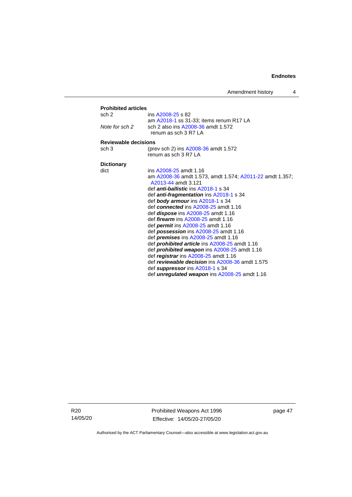| Amendment history |  |  |
|-------------------|--|--|
|-------------------|--|--|

| <b>Prohibited articles</b> |                                                          |
|----------------------------|----------------------------------------------------------|
| sch 2                      | ins A2008-25 s 82                                        |
|                            | am A2018-1 ss 31-33: items renum R17 LA                  |
| Note for sch 2             | sch 2 also ins A2008-36 amdt 1.572                       |
|                            | renum as sch 3 R7 LA                                     |
| Reviewable decisions       |                                                          |
| sch $3$                    | (prev sch 2) ins A2008-36 amdt 1.572                     |
|                            | renum as sch 3 R7 LA                                     |
|                            |                                                          |
| <b>Dictionary</b>          |                                                          |
| dict                       | ins A2008-25 amdt 1.16                                   |
|                            | am A2008-36 amdt 1.573, amdt 1.574; A2011-22 amdt 1.357; |
|                            | A2013-44 amdt 3.121                                      |
|                            | def <i>anti-ballistic</i> ins A2018-1 s 34               |
|                            | def <i>anti-fragmentation</i> ins A2018-1 s 34           |
|                            | def <b>body armour</b> ins A2018-1 s 34                  |
|                            | def connected ins A2008-25 amdt 1.16                     |
|                            | def <i>dispose</i> ins A2008-25 amdt 1.16                |
|                            | def <i>firearm</i> ins A2008-25 amdt 1.16                |
|                            | def <i>permit</i> ins A2008-25 amdt 1.16                 |
|                            | def <b>possession</b> ins $A2008-25$ amdt 1.16           |
|                            | def <i>premises</i> ins $A2008-25$ amdt 1.16             |
|                            | def <i>prohibited article</i> ins A2008-25 amdt 1.16     |
|                            | def prohibited weapon ins A2008-25 amdt 1.16             |
|                            | def registrar ins A2008-25 amdt 1.16                     |
|                            | def reviewable decision ins A2008-36 amdt 1.575          |
|                            | def suppressor ins A2018-1 s 34                          |
|                            | def <i>unregulated weapon</i> ins A2008-25 amdt 1.16     |

R20 14/05/20 Prohibited Weapons Act 1996 Effective: 14/05/20-27/05/20

page 47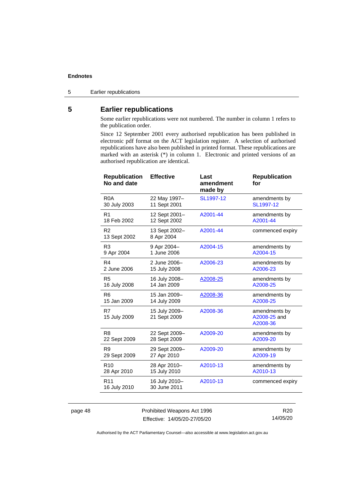5 Earlier republications

## <span id="page-53-0"></span>**5 Earlier republications**

Some earlier republications were not numbered. The number in column 1 refers to the publication order.

Since 12 September 2001 every authorised republication has been published in electronic pdf format on the ACT legislation register. A selection of authorised republications have also been published in printed format. These republications are marked with an asterisk (\*) in column 1. Electronic and printed versions of an authorised republication are identical.

| <b>Republication</b><br>No and date | <b>Effective</b>              | Last<br>amendment<br>made by | <b>Republication</b><br>for               |
|-------------------------------------|-------------------------------|------------------------------|-------------------------------------------|
| R <sub>0</sub> A                    | 22 May 1997-                  | SL1997-12                    | amendments by                             |
| 30 July 2003                        | 11 Sept 2001                  |                              | SL1997-12                                 |
| R <sub>1</sub>                      | 12 Sept 2001-                 | A2001-44                     | amendments by                             |
| 18 Feb 2002                         | 12 Sept 2002                  |                              | A2001-44                                  |
| R <sub>2</sub><br>13 Sept 2002      | 13 Sept 2002-<br>8 Apr 2004   | A2001-44                     | commenced expiry                          |
| R <sub>3</sub>                      | 9 Apr 2004-                   | A2004-15                     | amendments by                             |
| 9 Apr 2004                          | 1 June 2006                   |                              | A2004-15                                  |
| R <sub>4</sub>                      | 2 June 2006-                  | A2006-23                     | amendments by                             |
| 2 June 2006                         | 15 July 2008                  |                              | A2006-23                                  |
| R <sub>5</sub>                      | 16 July 2008-                 | A2008-25                     | amendments by                             |
| 16 July 2008                        | 14 Jan 2009                   |                              | A2008-25                                  |
| R <sub>6</sub>                      | 15 Jan 2009-                  | A2008-36                     | amendments by                             |
| 15 Jan 2009                         | 14 July 2009                  |                              | A2008-25                                  |
| R7<br>15 July 2009                  | 15 July 2009-<br>21 Sept 2009 | A2008-36                     | amendments by<br>A2008-25 and<br>A2008-36 |
| R <sub>8</sub>                      | 22 Sept 2009-                 | A2009-20                     | amendments by                             |
| 22 Sept 2009                        | 28 Sept 2009                  |                              | A2009-20                                  |
| R <sub>9</sub>                      | 29 Sept 2009-                 | A2009-20                     | amendments by                             |
| 29 Sept 2009                        | 27 Apr 2010                   |                              | A2009-19                                  |
| R <sub>10</sub>                     | 28 Apr 2010-                  | A2010-13                     | amendments by                             |
| 28 Apr 2010                         | 15 July 2010                  |                              | A2010-13                                  |
| R <sub>11</sub><br>16 July 2010     | 16 July 2010-<br>30 June 2011 | A2010-13                     | commenced expiry                          |

page 48 Prohibited Weapons Act 1996 Effective: 14/05/20-27/05/20

R20 14/05/20